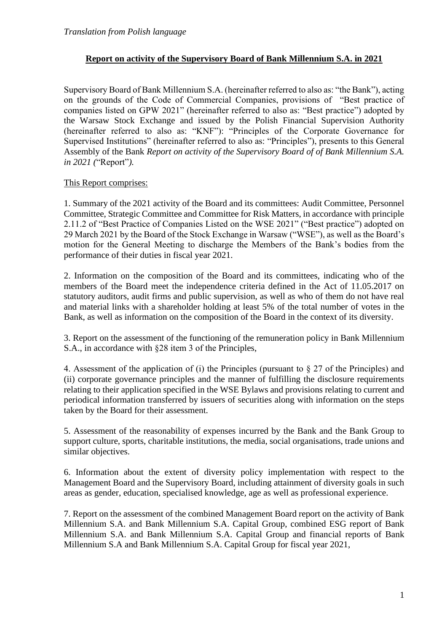## **Report on activity of the Supervisory Board of Bank Millennium S.A. in 2021**

Supervisory Board of Bank Millennium S.A. (hereinafter referred to also as: "the Bank"), acting on the grounds of the Code of Commercial Companies, provisions of "Best practice of companies listed on GPW 2021" (hereinafter referred to also as: "Best practice") adopted by the Warsaw Stock Exchange and issued by the Polish Financial Supervision Authority (hereinafter referred to also as: "KNF"): "Principles of the Corporate Governance for Supervised Institutions" (hereinafter referred to also as: "Principles"), presents to this General Assembly of the Bank *Report on activity of the Supervisory Board of of Bank Millennium S.A. in 2021 (*"Report"*).*

## This Report comprises:

1. Summary of the 2021 activity of the Board and its committees: Audit Committee, Personnel Committee, Strategic Committee and Committee for Risk Matters, in accordance with principle 2.11.2 of "Best Practice of Companies Listed on the WSE 2021" ("Best practice") adopted on 29 March 2021 by the Board of the Stock Exchange in Warsaw ("WSE"), as well as the Board's motion for the General Meeting to discharge the Members of the Bank's bodies from the performance of their duties in fiscal year 2021.

2. Information on the composition of the Board and its committees, indicating who of the members of the Board meet the independence criteria defined in the Act of 11.05.2017 on statutory auditors, audit firms and public supervision, as well as who of them do not have real and material links with a shareholder holding at least 5% of the total number of votes in the Bank, as well as information on the composition of the Board in the context of its diversity.

3. Report on the assessment of the functioning of the remuneration policy in Bank Millennium S.A., in accordance with §28 item 3 of the Principles,

4. Assessment of the application of (i) the Principles (pursuant to § 27 of the Principles) and (ii) corporate governance principles and the manner of fulfilling the disclosure requirements relating to their application specified in the WSE Bylaws and provisions relating to current and periodical information transferred by issuers of securities along with information on the steps taken by the Board for their assessment.

5. Assessment of the reasonability of expenses incurred by the Bank and the Bank Group to support culture, sports, charitable institutions, the media, social organisations, trade unions and similar objectives.

6. Information about the extent of diversity policy implementation with respect to the Management Board and the Supervisory Board, including attainment of diversity goals in such areas as gender, education, specialised knowledge, age as well as professional experience.

7. Report on the assessment of the combined Management Board report on the activity of Bank Millennium S.A. and Bank Millennium S.A. Capital Group, combined ESG report of Bank Millennium S.A. and Bank Millennium S.A. Capital Group and financial reports of Bank Millennium S.A and Bank Millennium S.A. Capital Group for fiscal year 2021,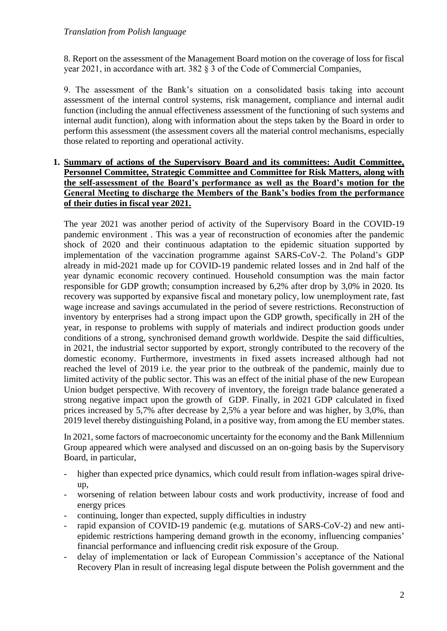8. Report on the assessment of the Management Board motion on the coverage of loss for fiscal year 2021, in accordance with art. 382 § 3 of the Code of Commercial Companies,

9. The assessment of the Bank's situation on a consolidated basis taking into account assessment of the internal control systems, risk management, compliance and internal audit function (including the annual effectiveness assessment of the functioning of such systems and internal audit function), along with information about the steps taken by the Board in order to perform this assessment (the assessment covers all the material control mechanisms, especially those related to reporting and operational activity.

## **1. Summary of actions of the Supervisory Board and its committees: Audit Committee, Personnel Committee, Strategic Committee and Committee for Risk Matters, along with the self-assessment of the Board's performance as well as the Board's motion for the General Meeting to discharge the Members of the Bank's bodies from the performance of their duties in fiscal year 2021.**

The year 2021 was another period of activity of the Supervisory Board in the COVID-19 pandemic environment . This was a year of reconstruction of economies after the pandemic shock of 2020 and their continuous adaptation to the epidemic situation supported by implementation of the vaccination programme against SARS-CoV-2. The Poland's GDP already in mid-2021 made up for COVID-19 pandemic related losses and in 2nd half of the year dynamic economic recovery continued. Household consumption was the main factor responsible for GDP growth; consumption increased by 6,2% after drop by 3,0% in 2020. Its recovery was supported by expansive fiscal and monetary policy, low unemployment rate, fast wage increase and savings accumulated in the period of severe restrictions. Reconstruction of inventory by enterprises had a strong impact upon the GDP growth, specifically in 2H of the year, in response to problems with supply of materials and indirect production goods under conditions of a strong, synchronised demand growth worldwide. Despite the said difficulties, in 2021, the industrial sector supported by export, strongly contributed to the recovery of the domestic economy. Furthermore, investments in fixed assets increased although had not reached the level of 2019 i.e. the year prior to the outbreak of the pandemic, mainly due to limited activity of the public sector. This was an effect of the initial phase of the new European Union budget perspective. With recovery of inventory, the foreign trade balance generated a strong negative impact upon the growth of GDP. Finally, in 2021 GDP calculated in fixed prices increased by 5,7% after decrease by 2,5% a year before and was higher, by 3,0%, than 2019 level thereby distinguishing Poland, in a positive way, from among the EU member states.

In 2021, some factors of macroeconomic uncertainty for the economy and the Bank Millennium Group appeared which were analysed and discussed on an on-going basis by the Supervisory Board, in particular,

- higher than expected price dynamics, which could result from inflation-wages spiral driveup,
- worsening of relation between labour costs and work productivity, increase of food and energy prices
- continuing, longer than expected, supply difficulties in industry
- rapid expansion of COVID-19 pandemic (e.g. mutations of SARS-CoV-2) and new antiepidemic restrictions hampering demand growth in the economy, influencing companies' financial performance and influencing credit risk exposure of the Group.
- delay of implementation or lack of European Commission's acceptance of the National Recovery Plan in result of increasing legal dispute between the Polish government and the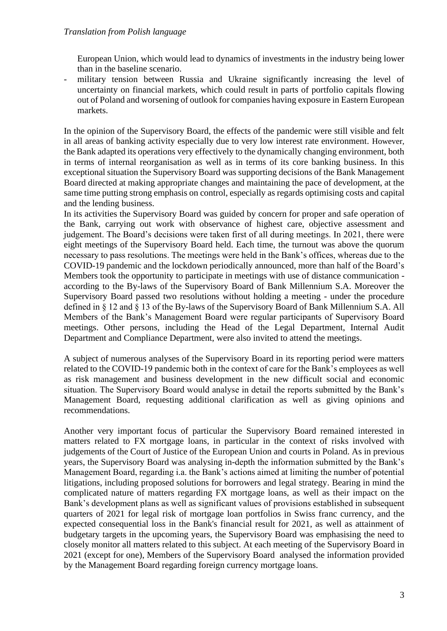European Union, which would lead to dynamics of investments in the industry being lower than in the baseline scenario.

military tension between Russia and Ukraine significantly increasing the level of uncertainty on financial markets, which could result in parts of portfolio capitals flowing out of Poland and worsening of outlook for companies having exposure in Eastern European markets.

In the opinion of the Supervisory Board, the effects of the pandemic were still visible and felt in all areas of banking activity especially due to very low interest rate environment. However, the Bank adapted its operations very effectively to the dynamically changing environment, both in terms of internal reorganisation as well as in terms of its core banking business. In this exceptional situation the Supervisory Board was supporting decisions of the Bank Management Board directed at making appropriate changes and maintaining the pace of development, at the same time putting strong emphasis on control, especially as regards optimising costs and capital and the lending business.

In its activities the Supervisory Board was guided by concern for proper and safe operation of the Bank, carrying out work with observance of highest care, objective assessment and judgement. The Board's decisions were taken first of all during meetings. In 2021, there were eight meetings of the Supervisory Board held. Each time, the turnout was above the quorum necessary to pass resolutions. The meetings were held in the Bank's offices, whereas due to the COVID-19 pandemic and the lockdown periodically announced, more than half of the Board's Members took the opportunity to participate in meetings with use of distance communication according to the By-laws of the Supervisory Board of Bank Millennium S.A. Moreover the Supervisory Board passed two resolutions without holding a meeting - under the procedure defined in § 12 and § 13 of the By-laws of the Supervisory Board of Bank Millennium S.A. All Members of the Bank's Management Board were regular participants of Supervisory Board meetings. Other persons, including the Head of the Legal Department, Internal Audit Department and Compliance Department, were also invited to attend the meetings.

A subject of numerous analyses of the Supervisory Board in its reporting period were matters related to the COVID-19 pandemic both in the context of care for the Bank's employees as well as risk management and business development in the new difficult social and economic situation. The Supervisory Board would analyse in detail the reports submitted by the Bank's Management Board, requesting additional clarification as well as giving opinions and recommendations.

Another very important focus of particular the Supervisory Board remained interested in matters related to FX mortgage loans, in particular in the context of risks involved with judgements of the Court of Justice of the European Union and courts in Poland. As in previous years, the Supervisory Board was analysing in-depth the information submitted by the Bank's Management Board, regarding i.a. the Bank's actions aimed at limiting the number of potential litigations, including proposed solutions for borrowers and legal strategy. Bearing in mind the complicated nature of matters regarding FX mortgage loans, as well as their impact on the Bank's development plans as well as significant values of provisions established in subsequent quarters of 2021 for legal risk of mortgage loan portfolios in Swiss franc currency, and the expected consequential loss in the Bank's financial result for 2021, as well as attainment of budgetary targets in the upcoming years, the Supervisory Board was emphasising the need to closely monitor all matters related to this subject. At each meeting of the Supervisory Board in 2021 (except for one), Members of the Supervisory Board analysed the information provided by the Management Board regarding foreign currency mortgage loans.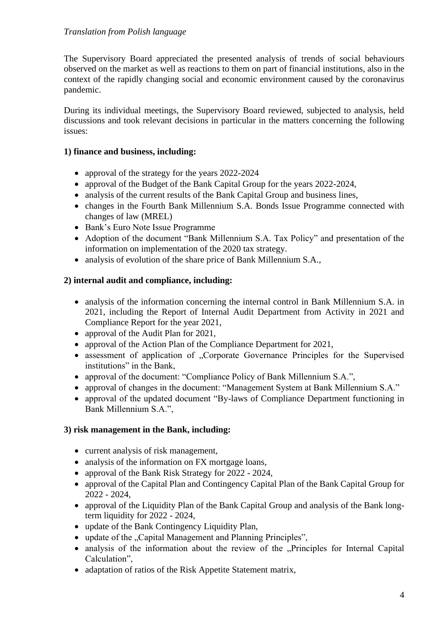The Supervisory Board appreciated the presented analysis of trends of social behaviours observed on the market as well as reactions to them on part of financial institutions, also in the context of the rapidly changing social and economic environment caused by the coronavirus pandemic.

During its individual meetings, the Supervisory Board reviewed, subjected to analysis, held discussions and took relevant decisions in particular in the matters concerning the following issues:

### **1) finance and business, including:**

- approval of the strategy for the years 2022-2024
- approval of the Budget of the Bank Capital Group for the years 2022-2024,
- analysis of the current results of the Bank Capital Group and business lines,
- changes in the Fourth Bank Millennium S.A. Bonds Issue Programme connected with changes of law (MREL)
- Bank's Euro Note Issue Programme
- Adoption of the document "Bank Millennium S.A. Tax Policy" and presentation of the information on implementation of the 2020 tax strategy.
- analysis of evolution of the share price of Bank Millennium S.A.,

## **2) internal audit and compliance, including:**

- analysis of the information concerning the internal control in Bank Millennium S.A. in 2021, including the Report of Internal Audit Department from Activity in 2021 and Compliance Report for the year 2021,
- approval of the Audit Plan for 2021,
- approval of the Action Plan of the Compliance Department for 2021,
- assessment of application of "Corporate Governance Principles for the Supervised institutions" in the Bank,
- approval of the document: "Compliance Policy of Bank Millennium S.A.",
- approval of changes in the document: "Management System at Bank Millennium S.A."
- approval of the updated document "By-laws of Compliance Department functioning in Bank Millennium S.A.",

## **3) risk management in the Bank, including:**

- current analysis of risk management,
- analysis of the information on FX mortgage loans,
- approval of the Bank Risk Strategy for 2022 2024,
- approval of the Capital Plan and Contingency Capital Plan of the Bank Capital Group for 2022 - 2024,
- approval of the Liquidity Plan of the Bank Capital Group and analysis of the Bank longterm liquidity for 2022 - 2024,
- update of the Bank Contingency Liquidity Plan,
- update of the "Capital Management and Planning Principles",
- analysis of the information about the review of the ...Principles for Internal Capital Calculation",
- adaptation of ratios of the Risk Appetite Statement matrix,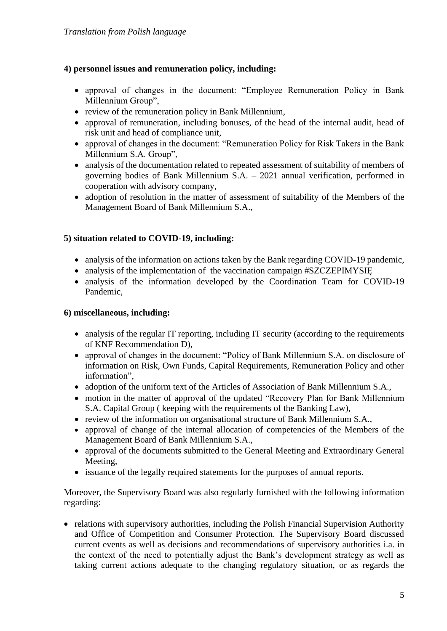## **4) personnel issues and remuneration policy, including:**

- approval of changes in the document: "Employee Remuneration Policy in Bank Millennium Group",
- review of the remuneration policy in Bank Millennium,
- approval of remuneration, including bonuses, of the head of the internal audit, head of risk unit and head of compliance unit,
- approval of changes in the document: "Remuneration Policy for Risk Takers in the Bank Millennium S.A. Group",
- analysis of the documentation related to repeated assessment of suitability of members of governing bodies of Bank Millennium S.A. – 2021 annual verification, performed in cooperation with advisory company,
- adoption of resolution in the matter of assessment of suitability of the Members of the Management Board of Bank Millennium S.A.,

## **5) situation related to COVID-19, including:**

- analysis of the information on actions taken by the Bank regarding COVID-19 pandemic,
- analysis of the implementation of the vaccination campaign #SZCZEPIMYSIE
- analysis of the information developed by the Coordination Team for COVID-19 Pandemic,

## **6) miscellaneous, including:**

- analysis of the regular IT reporting, including IT security (according to the requirements of KNF Recommendation D),
- approval of changes in the document: "Policy of Bank Millennium S.A. on disclosure of information on Risk, Own Funds, Capital Requirements, Remuneration Policy and other information",
- adoption of the uniform text of the Articles of Association of Bank Millennium S.A.,
- motion in the matter of approval of the updated "Recovery Plan for Bank Millennium S.A. Capital Group ( keeping with the requirements of the Banking Law),
- review of the information on organisational structure of Bank Millennium S.A.,
- approval of change of the internal allocation of competencies of the Members of the Management Board of Bank Millennium S.A.,
- approval of the documents submitted to the General Meeting and Extraordinary General Meeting,
- issuance of the legally required statements for the purposes of annual reports.

Moreover, the Supervisory Board was also regularly furnished with the following information regarding:

• relations with supervisory authorities, including the Polish Financial Supervision Authority and Office of Competition and Consumer Protection. The Supervisory Board discussed current events as well as decisions and recommendations of supervisory authorities i.a. in the context of the need to potentially adjust the Bank's development strategy as well as taking current actions adequate to the changing regulatory situation, or as regards the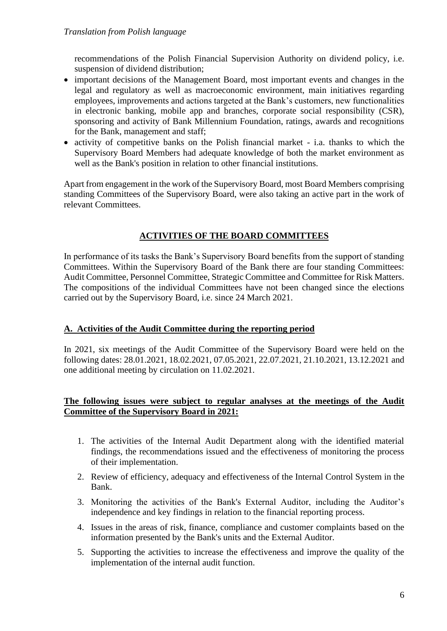recommendations of the Polish Financial Supervision Authority on dividend policy, i.e. suspension of dividend distribution;

- important decisions of the Management Board, most important events and changes in the legal and regulatory as well as macroeconomic environment, main initiatives regarding employees, improvements and actions targeted at the Bank's customers, new functionalities in electronic banking, mobile app and branches, corporate social responsibility (CSR), sponsoring and activity of Bank Millennium Foundation, ratings, awards and recognitions for the Bank, management and staff;
- activity of competitive banks on the Polish financial market i.a. thanks to which the Supervisory Board Members had adequate knowledge of both the market environment as well as the Bank's position in relation to other financial institutions.

Apart from engagement in the work of the Supervisory Board, most Board Members comprising standing Committees of the Supervisory Board, were also taking an active part in the work of relevant Committees.

# **ACTIVITIES OF THE BOARD COMMITTEES**

In performance of its tasks the Bank's Supervisory Board benefits from the support of standing Committees. Within the Supervisory Board of the Bank there are four standing Committees: Audit Committee, Personnel Committee, Strategic Committee and Committee for Risk Matters. The compositions of the individual Committees have not been changed since the elections carried out by the Supervisory Board, i.e. since 24 March 2021.

# **A. Activities of the Audit Committee during the reporting period**

In 2021, six meetings of the Audit Committee of the Supervisory Board were held on the following dates: 28.01.2021, 18.02.2021, 07.05.2021, 22.07.2021, 21.10.2021, 13.12.2021 and one additional meeting by circulation on 11.02.2021.

## **The following issues were subject to regular analyses at the meetings of the Audit Committee of the Supervisory Board in 2021:**

- 1. The activities of the Internal Audit Department along with the identified material findings, the recommendations issued and the effectiveness of monitoring the process of their implementation.
- 2. Review of efficiency, adequacy and effectiveness of the Internal Control System in the Bank.
- 3. Monitoring the activities of the Bank's External Auditor, including the Auditor's independence and key findings in relation to the financial reporting process.
- 4. Issues in the areas of risk, finance, compliance and customer complaints based on the information presented by the Bank's units and the External Auditor.
- 5. Supporting the activities to increase the effectiveness and improve the quality of the implementation of the internal audit function.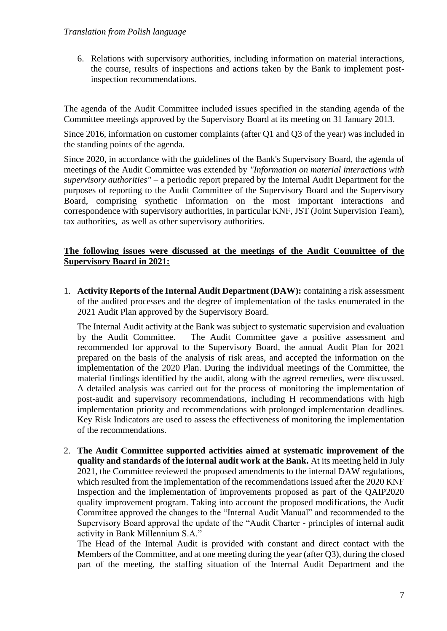6. Relations with supervisory authorities, including information on material interactions, the course, results of inspections and actions taken by the Bank to implement postinspection recommendations.

The agenda of the Audit Committee included issues specified in the standing agenda of the Committee meetings approved by the Supervisory Board at its meeting on 31 January 2013.

Since 2016, information on customer complaints (after Q1 and Q3 of the year) was included in the standing points of the agenda.

Since 2020, in accordance with the guidelines of the Bank's Supervisory Board, the agenda of meetings of the Audit Committee was extended by *"Information on material interactions with supervisory authorities"* – a periodic report prepared by the Internal Audit Department for the purposes of reporting to the Audit Committee of the Supervisory Board and the Supervisory Board, comprising synthetic information on the most important interactions and correspondence with supervisory authorities, in particular KNF, JST (Joint Supervision Team), tax authorities, as well as other supervisory authorities.

## **The following issues were discussed at the meetings of the Audit Committee of the Supervisory Board in 2021:**

1. **Activity Reports of the Internal Audit Department (DAW):** containing a risk assessment of the audited processes and the degree of implementation of the tasks enumerated in the 2021 Audit Plan approved by the Supervisory Board.

The Internal Audit activity at the Bank was subject to systematic supervision and evaluation by the Audit Committee. The Audit Committee gave a positive assessment and recommended for approval to the Supervisory Board, the annual Audit Plan for 2021 prepared on the basis of the analysis of risk areas, and accepted the information on the implementation of the 2020 Plan. During the individual meetings of the Committee, the material findings identified by the audit, along with the agreed remedies, were discussed. A detailed analysis was carried out for the process of monitoring the implementation of post-audit and supervisory recommendations, including H recommendations with high implementation priority and recommendations with prolonged implementation deadlines. Key Risk Indicators are used to assess the effectiveness of monitoring the implementation of the recommendations.

2. **The Audit Committee supported activities aimed at systematic improvement of the quality and standards of the internal audit work at the Bank.** At its meeting held in July 2021, the Committee reviewed the proposed amendments to the internal DAW regulations, which resulted from the implementation of the recommendations issued after the 2020 KNF Inspection and the implementation of improvements proposed as part of the QAIP2020 quality improvement program. Taking into account the proposed modifications, the Audit Committee approved the changes to the "Internal Audit Manual" and recommended to the Supervisory Board approval the update of the "Audit Charter - principles of internal audit activity in Bank Millennium S.A."

The Head of the Internal Audit is provided with constant and direct contact with the Members of the Committee, and at one meeting during the year (after Q3), during the closed part of the meeting, the staffing situation of the Internal Audit Department and the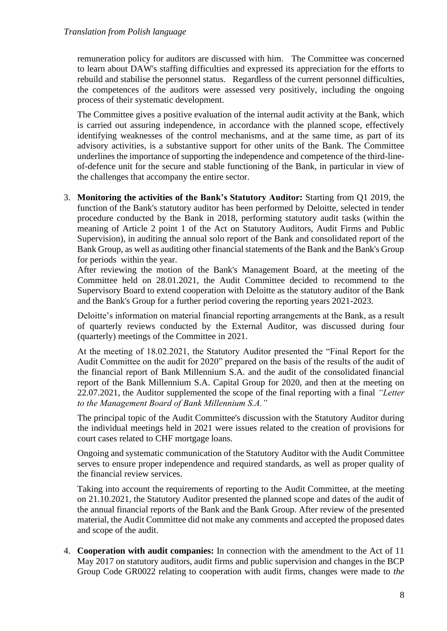remuneration policy for auditors are discussed with him. The Committee was concerned to learn about DAW's staffing difficulties and expressed its appreciation for the efforts to rebuild and stabilise the personnel status. Regardless of the current personnel difficulties, the competences of the auditors were assessed very positively, including the ongoing process of their systematic development.

The Committee gives a positive evaluation of the internal audit activity at the Bank, which is carried out assuring independence, in accordance with the planned scope, effectively identifying weaknesses of the control mechanisms, and at the same time, as part of its advisory activities, is a substantive support for other units of the Bank. The Committee underlines the importance of supporting the independence and competence of the third-lineof-defence unit for the secure and stable functioning of the Bank, in particular in view of the challenges that accompany the entire sector.

3. **Monitoring the activities of the Bank's Statutory Auditor:** Starting from Q1 2019, the function of the Bank's statutory auditor has been performed by Deloitte, selected in tender procedure conducted by the Bank in 2018, performing statutory audit tasks (within the meaning of Article 2 point 1 of the Act on Statutory Auditors, Audit Firms and Public Supervision), in auditing the annual solo report of the Bank and consolidated report of the Bank Group, as well as auditing other financial statements of the Bank and the Bank's Group for periods within the year.

After reviewing the motion of the Bank's Management Board, at the meeting of the Committee held on 28.01.2021, the Audit Committee decided to recommend to the Supervisory Board to extend cooperation with Deloitte as the statutory auditor of the Bank and the Bank's Group for a further period covering the reporting years 2021-2023.

Deloitte's information on material financial reporting arrangements at the Bank, as a result of quarterly reviews conducted by the External Auditor, was discussed during four (quarterly) meetings of the Committee in 2021.

At the meeting of 18.02.2021, the Statutory Auditor presented the "Final Report for the Audit Committee on the audit for 2020" prepared on the basis of the results of the audit of the financial report of Bank Millennium S.A. and the audit of the consolidated financial report of the Bank Millennium S.A. Capital Group for 2020, and then at the meeting on 22.07.2021, the Auditor supplemented the scope of the final reporting with a final *"Letter to the Management Board of Bank Millennium S.A."*

The principal topic of the Audit Committee's discussion with the Statutory Auditor during the individual meetings held in 2021 were issues related to the creation of provisions for court cases related to CHF mortgage loans.

Ongoing and systematic communication of the Statutory Auditor with the Audit Committee serves to ensure proper independence and required standards, as well as proper quality of the financial review services.

Taking into account the requirements of reporting to the Audit Committee, at the meeting on 21.10.2021, the Statutory Auditor presented the planned scope and dates of the audit of the annual financial reports of the Bank and the Bank Group. After review of the presented material, the Audit Committee did not make any comments and accepted the proposed dates and scope of the audit.

4. **Cooperation with audit companies:** In connection with the amendment to the Act of 11 May 2017 on statutory auditors, audit firms and public supervision and changes in the BCP Group Code GR0022 relating to cooperation with audit firms, changes were made to *the*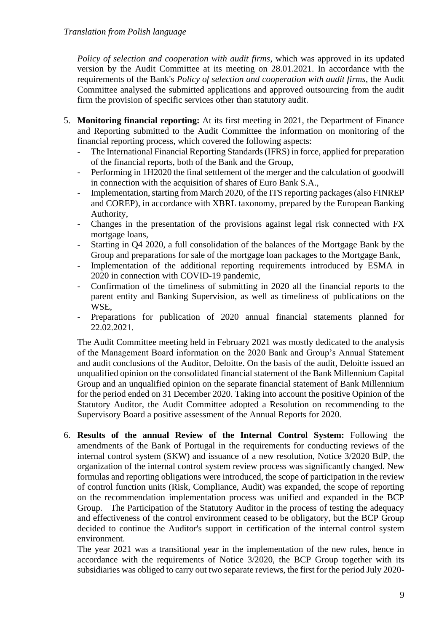*Policy of selection and cooperation with audit firms*, which was approved in its updated version by the Audit Committee at its meeting on 28.01.2021. In accordance with the requirements of the Bank's *Policy of selection and cooperation with audit firms*, the Audit Committee analysed the submitted applications and approved outsourcing from the audit firm the provision of specific services other than statutory audit.

- 5. **Monitoring financial reporting:** At its first meeting in 2021, the Department of Finance and Reporting submitted to the Audit Committee the information on monitoring of the financial reporting process, which covered the following aspects:
	- The International Financial Reporting Standards (IFRS) in force, applied for preparation of the financial reports, both of the Bank and the Group,
	- Performing in 1H2020 the final settlement of the merger and the calculation of goodwill in connection with the acquisition of shares of Euro Bank S.A.,
	- Implementation, starting from March 2020, of the ITS reporting packages (also FINREP and COREP), in accordance with XBRL taxonomy, prepared by the European Banking Authority,
	- Changes in the presentation of the provisions against legal risk connected with FX mortgage loans,
	- Starting in Q4 2020, a full consolidation of the balances of the Mortgage Bank by the Group and preparations for sale of the mortgage loan packages to the Mortgage Bank,
	- Implementation of the additional reporting requirements introduced by ESMA in 2020 in connection with COVID-19 pandemic,
	- Confirmation of the timeliness of submitting in 2020 all the financial reports to the parent entity and Banking Supervision, as well as timeliness of publications on the WSE,
	- Preparations for publication of 2020 annual financial statements planned for 22.02.2021.

The Audit Committee meeting held in February 2021 was mostly dedicated to the analysis of the Management Board information on the 2020 Bank and Group's Annual Statement and audit conclusions of the Auditor, Deloitte. On the basis of the audit, Deloitte issued an unqualified opinion on the consolidated financial statement of the Bank Millennium Capital Group and an unqualified opinion on the separate financial statement of Bank Millennium for the period ended on 31 December 2020. Taking into account the positive Opinion of the Statutory Auditor, the Audit Committee adopted a Resolution on recommending to the Supervisory Board a positive assessment of the Annual Reports for 2020.

6. **Results of the annual Review of the Internal Control System:** Following the amendments of the Bank of Portugal in the requirements for conducting reviews of the internal control system (SKW) and issuance of a new resolution, Notice 3/2020 BdP, the organization of the internal control system review process was significantly changed. New formulas and reporting obligations were introduced, the scope of participation in the review of control function units (Risk, Compliance, Audit) was expanded, the scope of reporting on the recommendation implementation process was unified and expanded in the BCP Group. The Participation of the Statutory Auditor in the process of testing the adequacy and effectiveness of the control environment ceased to be obligatory, but the BCP Group decided to continue the Auditor's support in certification of the internal control system environment.

The year 2021 was a transitional year in the implementation of the new rules, hence in accordance with the requirements of Notice 3/2020, the BCP Group together with its subsidiaries was obliged to carry out two separate reviews, the first for the period July 2020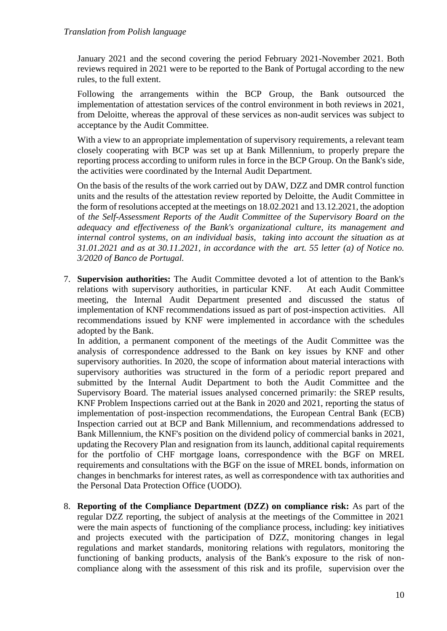January 2021 and the second covering the period February 2021-November 2021. Both reviews required in 2021 were to be reported to the Bank of Portugal according to the new rules, to the full extent.

Following the arrangements within the BCP Group, the Bank outsourced the implementation of attestation services of the control environment in both reviews in 2021, from Deloitte, whereas the approval of these services as non-audit services was subject to acceptance by the Audit Committee.

With a view to an appropriate implementation of supervisory requirements, a relevant team closely cooperating with BCP was set up at Bank Millennium, to properly prepare the reporting process according to uniform rules in force in the BCP Group. On the Bank's side, the activities were coordinated by the Internal Audit Department.

On the basis of the results of the work carried out by DAW, DZZ and DMR control function units and the results of the attestation review reported by Deloitte, the Audit Committee in the form of resolutions accepted at the meetings on 18.02.2021 and 13.12.2021, the adoption of *the Self-Assessment Reports of the Audit Committee of the Supervisory Board on the adequacy and effectiveness of the Bank's organizational culture, its management and internal control systems, on an individual basis, taking into account the situation as at 31.01.2021 and as at 30.11.2021, in accordance with the art. 55 letter (a) of Notice no. 3/2020 of Banco de Portugal.*

7. **Supervision authorities:** The Audit Committee devoted a lot of attention to the Bank's relations with supervisory authorities, in particular KNF. At each Audit Committee meeting, the Internal Audit Department presented and discussed the status of implementation of KNF recommendations issued as part of post-inspection activities. All recommendations issued by KNF were implemented in accordance with the schedules adopted by the Bank.

In addition, a permanent component of the meetings of the Audit Committee was the analysis of correspondence addressed to the Bank on key issues by KNF and other supervisory authorities. In 2020, the scope of information about material interactions with supervisory authorities was structured in the form of a periodic report prepared and submitted by the Internal Audit Department to both the Audit Committee and the Supervisory Board. The material issues analysed concerned primarily: the SREP results, KNF Problem Inspections carried out at the Bank in 2020 and 2021, reporting the status of implementation of post-inspection recommendations, the European Central Bank (ECB) Inspection carried out at BCP and Bank Millennium, and recommendations addressed to Bank Millennium, the KNF's position on the dividend policy of commercial banks in 2021, updating the Recovery Plan and resignation from its launch, additional capital requirements for the portfolio of CHF mortgage loans, correspondence with the BGF on MREL requirements and consultations with the BGF on the issue of MREL bonds, information on changes in benchmarks for interest rates, as well as correspondence with tax authorities and the Personal Data Protection Office (UODO).

8. **Reporting of the Compliance Department (DZZ) on compliance risk:** As part of the regular DZZ reporting, the subject of analysis at the meetings of the Committee in 2021 were the main aspects of functioning of the compliance process, including: key initiatives and projects executed with the participation of DZZ, monitoring changes in legal regulations and market standards, monitoring relations with regulators, monitoring the functioning of banking products, analysis of the Bank's exposure to the risk of noncompliance along with the assessment of this risk and its profile, supervision over the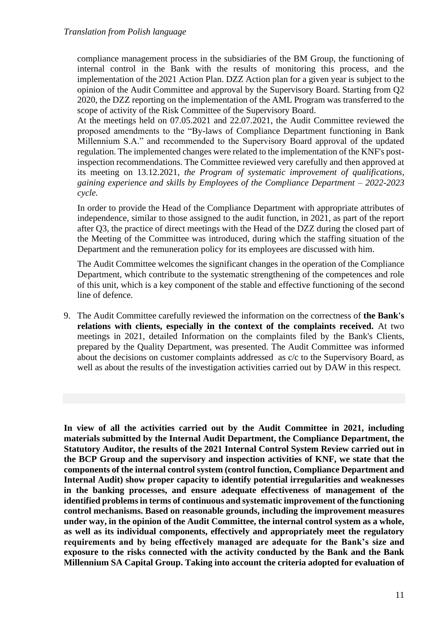compliance management process in the subsidiaries of the BM Group, the functioning of internal control in the Bank with the results of monitoring this process, and the implementation of the 2021 Action Plan. DZZ Action plan for a given year is subject to the opinion of the Audit Committee and approval by the Supervisory Board. Starting from Q2 2020, the DZZ reporting on the implementation of the AML Program was transferred to the scope of activity of the Risk Committee of the Supervisory Board.

At the meetings held on 07.05.2021 and 22.07.2021, the Audit Committee reviewed the proposed amendments to the "By-laws of Compliance Department functioning in Bank Millennium S.A." and recommended to the Supervisory Board approval of the updated regulation. The implemented changes were related to the implementation of the KNF's postinspection recommendations. The Committee reviewed very carefully and then approved at its meeting on 13.12.2021, *the Program of systematic improvement of qualifications, gaining experience and skills by Employees of the Compliance Department – 2022-2023 cycle.*

In order to provide the Head of the Compliance Department with appropriate attributes of independence, similar to those assigned to the audit function, in 2021, as part of the report after Q3, the practice of direct meetings with the Head of the DZZ during the closed part of the Meeting of the Committee was introduced, during which the staffing situation of the Department and the remuneration policy for its employees are discussed with him.

The Audit Committee welcomes the significant changes in the operation of the Compliance Department, which contribute to the systematic strengthening of the competences and role of this unit, which is a key component of the stable and effective functioning of the second line of defence.

9. The Audit Committee carefully reviewed the information on the correctness of **the Bank's relations with clients, especially in the context of the complaints received.** At two meetings in 2021, detailed Information on the complaints filed by the Bank's Clients, prepared by the Quality Department, was presented. The Audit Committee was informed about the decisions on customer complaints addressed as c/c to the Supervisory Board, as well as about the results of the investigation activities carried out by DAW in this respect.

**In view of all the activities carried out by the Audit Committee in 2021, including materials submitted by the Internal Audit Department, the Compliance Department, the Statutory Auditor, the results of the 2021 Internal Control System Review carried out in the BCP Group and the supervisory and inspection activities of KNF, we state that the components of the internal control system (control function, Compliance Department and Internal Audit) show proper capacity to identify potential irregularities and weaknesses in the banking processes, and ensure adequate effectiveness of management of the identified problems in terms of continuous and systematic improvement of the functioning control mechanisms. Based on reasonable grounds, including the improvement measures under way, in the opinion of the Audit Committee, the internal control system as a whole, as well as its individual components, effectively and appropriately meet the regulatory requirements and by being effectively managed are adequate for the Bank's size and exposure to the risks connected with the activity conducted by the Bank and the Bank Millennium SA Capital Group. Taking into account the criteria adopted for evaluation of**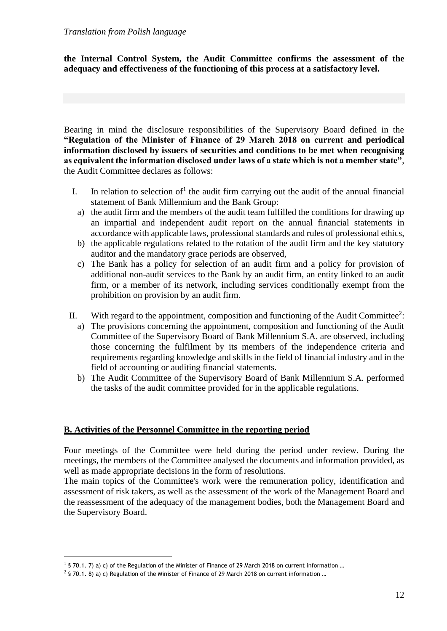**the Internal Control System, the Audit Committee confirms the assessment of the adequacy and effectiveness of the functioning of this process at a satisfactory level.** 

Bearing in mind the disclosure responsibilities of the Supervisory Board defined in the **"Regulation of the Minister of Finance of 29 March 2018 on current and periodical information disclosed by issuers of securities and conditions to be met when recognising as equivalent the information disclosed under laws of a state which is not a member state"**, the Audit Committee declares as follows:

- I. In relation to selection of<sup>1</sup> the audit firm carrying out the audit of the annual financial statement of Bank Millennium and the Bank Group:
	- a) the audit firm and the members of the audit team fulfilled the conditions for drawing up an impartial and independent audit report on the annual financial statements in accordance with applicable laws, professional standards and rules of professional ethics,
- b) the applicable regulations related to the rotation of the audit firm and the key statutory auditor and the mandatory grace periods are observed,
- c) The Bank has a policy for selection of an audit firm and a policy for provision of additional non-audit services to the Bank by an audit firm, an entity linked to an audit firm, or a member of its network, including services conditionally exempt from the prohibition on provision by an audit firm.
- II. With regard to the appointment, composition and functioning of the Audit Committee<sup>2</sup>:
	- a) The provisions concerning the appointment, composition and functioning of the Audit Committee of the Supervisory Board of Bank Millennium S.A. are observed, including those concerning the fulfilment by its members of the independence criteria and requirements regarding knowledge and skills in the field of financial industry and in the field of accounting or auditing financial statements.
	- b) The Audit Committee of the Supervisory Board of Bank Millennium S.A. performed the tasks of the audit committee provided for in the applicable regulations.

# **B. Activities of the Personnel Committee in the reporting period**

Four meetings of the Committee were held during the period under review. During the meetings, the members of the Committee analysed the documents and information provided, as well as made appropriate decisions in the form of resolutions.

The main topics of the Committee's work were the remuneration policy, identification and assessment of risk takers, as well as the assessment of the work of the Management Board and the reassessment of the adequacy of the management bodies, both the Management Board and the Supervisory Board.

 $<sup>1</sup>$  § 70.1. 7) a) c) of the Regulation of the Minister of Finance of 29 March 2018 on current information ...</sup>

 $^2$  § 70.1. 8) a) c) Regulation of the Minister of Finance of 29 March 2018 on current information ...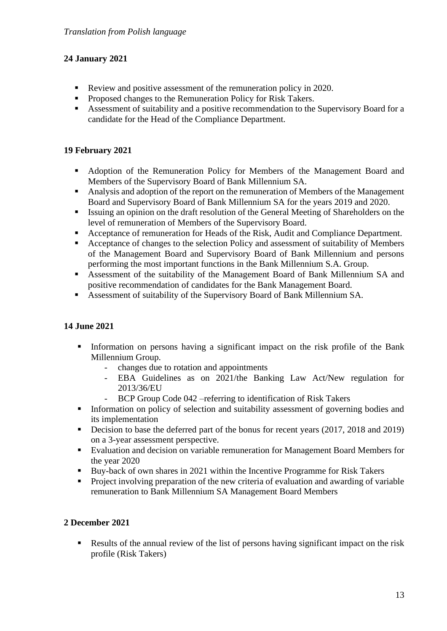# **24 January 2021**

- Review and positive assessment of the remuneration policy in 2020.
- Proposed changes to the Remuneration Policy for Risk Takers.
- Assessment of suitability and a positive recommendation to the Supervisory Board for a candidate for the Head of the Compliance Department.

# **19 February 2021**

- Adoption of the Remuneration Policy for Members of the Management Board and Members of the Supervisory Board of Bank Millennium SA.
- Analysis and adoption of the report on the remuneration of Members of the Management Board and Supervisory Board of Bank Millennium SA for the years 2019 and 2020.
- Issuing an opinion on the draft resolution of the General Meeting of Shareholders on the level of remuneration of Members of the Supervisory Board.
- Acceptance of remuneration for Heads of the Risk, Audit and Compliance Department.
- Acceptance of changes to the selection Policy and assessment of suitability of Members of the Management Board and Supervisory Board of Bank Millennium and persons performing the most important functions in the Bank Millennium S.A. Group.
- Assessment of the suitability of the Management Board of Bank Millennium SA and positive recommendation of candidates for the Bank Management Board.
- Assessment of suitability of the Supervisory Board of Bank Millennium SA.

# **14 June 2021**

- **EX** Information on persons having a significant impact on the risk profile of the Bank Millennium Group.
	- changes due to rotation and appointments
	- EBA Guidelines as on 2021/the Banking Law Act/New regulation for 2013/36/EU
	- BCP Group Code 042 –referring to identification of Risk Takers
- **•** Information on policy of selection and suitability assessment of governing bodies and its implementation
- Decision to base the deferred part of the bonus for recent years (2017, 2018 and 2019) on a 3-year assessment perspective.
- Evaluation and decision on variable remuneration for Management Board Members for the year 2020
- Buy-back of own shares in 2021 within the Incentive Programme for Risk Takers
- Project involving preparation of the new criteria of evaluation and awarding of variable remuneration to Bank Millennium SA Management Board Members

# **2 December 2021**

■ Results of the annual review of the list of persons having significant impact on the risk profile (Risk Takers)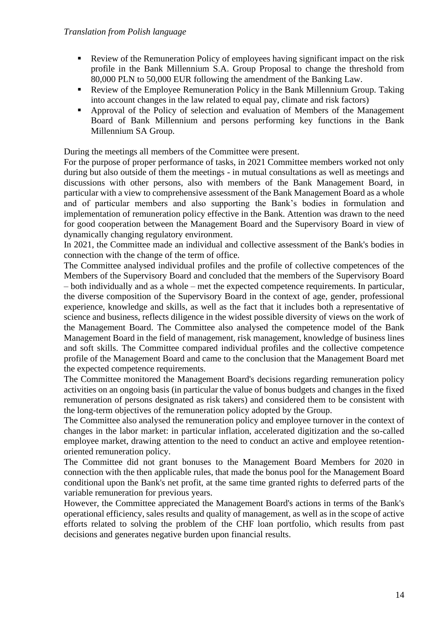- Review of the Remuneration Policy of employees having significant impact on the risk profile in the Bank Millennium S.A. Group Proposal to change the threshold from 80,000 PLN to 50,000 EUR following the amendment of the Banking Law.
- Review of the Employee Remuneration Policy in the Bank Millennium Group. Taking into account changes in the law related to equal pay, climate and risk factors)
- Approval of the Policy of selection and evaluation of Members of the Management Board of Bank Millennium and persons performing key functions in the Bank Millennium SA Group.

During the meetings all members of the Committee were present.

For the purpose of proper performance of tasks, in 2021 Committee members worked not only during but also outside of them the meetings - in mutual consultations as well as meetings and discussions with other persons, also with members of the Bank Management Board, in particular with a view to comprehensive assessment of the Bank Management Board as a whole and of particular members and also supporting the Bank's bodies in formulation and implementation of remuneration policy effective in the Bank. Attention was drawn to the need for good cooperation between the Management Board and the Supervisory Board in view of dynamically changing regulatory environment.

In 2021, the Committee made an individual and collective assessment of the Bank's bodies in connection with the change of the term of office.

The Committee analysed individual profiles and the profile of collective competences of the Members of the Supervisory Board and concluded that the members of the Supervisory Board – both individually and as a whole – met the expected competence requirements. In particular, the diverse composition of the Supervisory Board in the context of age, gender, professional experience, knowledge and skills, as well as the fact that it includes both a representative of science and business, reflects diligence in the widest possible diversity of views on the work of the Management Board. The Committee also analysed the competence model of the Bank Management Board in the field of management, risk management, knowledge of business lines and soft skills. The Committee compared individual profiles and the collective competence profile of the Management Board and came to the conclusion that the Management Board met the expected competence requirements.

The Committee monitored the Management Board's decisions regarding remuneration policy activities on an ongoing basis (in particular the value of bonus budgets and changes in the fixed remuneration of persons designated as risk takers) and considered them to be consistent with the long-term objectives of the remuneration policy adopted by the Group.

The Committee also analysed the remuneration policy and employee turnover in the context of changes in the labor market: in particular inflation, accelerated digitization and the so-called employee market, drawing attention to the need to conduct an active and employee retentionoriented remuneration policy.

The Committee did not grant bonuses to the Management Board Members for 2020 in connection with the then applicable rules, that made the bonus pool for the Management Board conditional upon the Bank's net profit, at the same time granted rights to deferred parts of the variable remuneration for previous years.

However, the Committee appreciated the Management Board's actions in terms of the Bank's operational efficiency, sales results and quality of management, as well as in the scope of active efforts related to solving the problem of the CHF loan portfolio, which results from past decisions and generates negative burden upon financial results.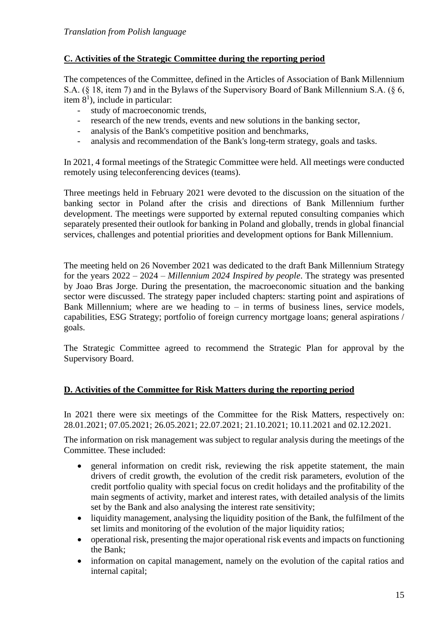# **C. Activities of the Strategic Committee during the reporting period**

The competences of the Committee, defined in the Articles of Association of Bank Millennium S.A. (§ 18, item 7) and in the Bylaws of the Supervisory Board of Bank Millennium S.A. (§ 6, item  $8<sup>1</sup>$ ), include in particular:

- study of macroeconomic trends,
- research of the new trends, events and new solutions in the banking sector,
- analysis of the Bank's competitive position and benchmarks,
- analysis and recommendation of the Bank's long-term strategy, goals and tasks.

In 2021, 4 formal meetings of the Strategic Committee were held. All meetings were conducted remotely using teleconferencing devices (teams).

Three meetings held in February 2021 were devoted to the discussion on the situation of the banking sector in Poland after the crisis and directions of Bank Millennium further development. The meetings were supported by external reputed consulting companies which separately presented their outlook for banking in Poland and globally, trends in global financial services, challenges and potential priorities and development options for Bank Millennium.

The meeting held on 26 November 2021 was dedicated to the draft Bank Millennium Strategy for the years 2022 – 2024 – *Millennium 2024 Inspired by people*. The strategy was presented by Joao Bras Jorge. During the presentation, the macroeconomic situation and the banking sector were discussed. The strategy paper included chapters: starting point and aspirations of Bank Millennium; where are we heading to  $-$  in terms of business lines, service models, capabilities, ESG Strategy; portfolio of foreign currency mortgage loans; general aspirations / goals.

The Strategic Committee agreed to recommend the Strategic Plan for approval by the Supervisory Board.

# **D. Activities of the Committee for Risk Matters during the reporting period**

In 2021 there were six meetings of the Committee for the Risk Matters, respectively on: 28.01.2021; 07.05.2021; 26.05.2021; 22.07.2021; 21.10.2021; 10.11.2021 and 02.12.2021.

The information on risk management was subject to regular analysis during the meetings of the Committee. These included:

- general information on credit risk, reviewing the risk appetite statement, the main drivers of credit growth, the evolution of the credit risk parameters, evolution of the credit portfolio quality with special focus on credit holidays and the profitability of the main segments of activity, market and interest rates, with detailed analysis of the limits set by the Bank and also analysing the interest rate sensitivity;
- liquidity management, analysing the liquidity position of the Bank, the fulfilment of the set limits and monitoring of the evolution of the major liquidity ratios;
- operational risk, presenting the major operational risk events and impacts on functioning the Bank;
- information on capital management, namely on the evolution of the capital ratios and internal capital;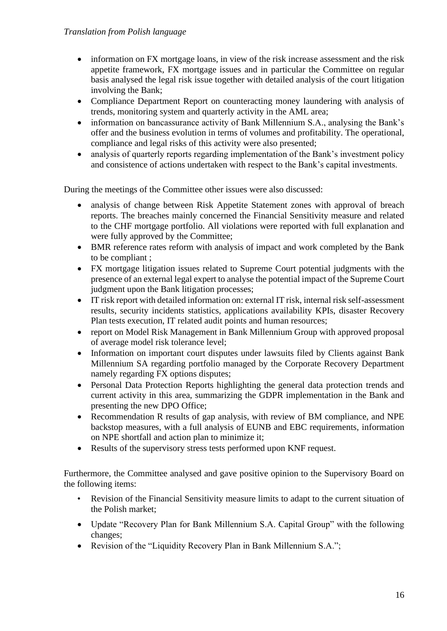- information on FX mortgage loans, in view of the risk increase assessment and the risk appetite framework, FX mortgage issues and in particular the Committee on regular basis analysed the legal risk issue together with detailed analysis of the court litigation involving the Bank;
- Compliance Department Report on counteracting money laundering with analysis of trends, monitoring system and quarterly activity in the AML area;
- information on bancassurance activity of Bank Millennium S.A., analysing the Bank's offer and the business evolution in terms of volumes and profitability. The operational, compliance and legal risks of this activity were also presented;
- analysis of quarterly reports regarding implementation of the Bank's investment policy and consistence of actions undertaken with respect to the Bank's capital investments.

During the meetings of the Committee other issues were also discussed:

- analysis of change between Risk Appetite Statement zones with approval of breach reports. The breaches mainly concerned the Financial Sensitivity measure and related to the CHF mortgage portfolio. All violations were reported with full explanation and were fully approved by the Committee;
- BMR reference rates reform with analysis of impact and work completed by the Bank to be compliant ;
- FX mortgage litigation issues related to Supreme Court potential judgments with the presence of an external legal expert to analyse the potential impact of the Supreme Court judgment upon the Bank litigation processes;
- IT risk report with detailed information on: external IT risk, internal risk self-assessment results, security incidents statistics, applications availability KPIs, disaster Recovery Plan tests execution, IT related audit points and human resources;
- report on Model Risk Management in Bank Millennium Group with approved proposal of average model risk tolerance level;
- Information on important court disputes under lawsuits filed by Clients against Bank Millennium SA regarding portfolio managed by the Corporate Recovery Department namely regarding FX options disputes;
- Personal Data Protection Reports highlighting the general data protection trends and current activity in this area, summarizing the GDPR implementation in the Bank and presenting the new DPO Office;
- Recommendation R results of gap analysis, with review of BM compliance, and NPE backstop measures, with a full analysis of EUNB and EBC requirements, information on NPE shortfall and action plan to minimize it;
- Results of the supervisory stress tests performed upon KNF request.

Furthermore, the Committee analysed and gave positive opinion to the Supervisory Board on the following items:

- Revision of the Financial Sensitivity measure limits to adapt to the current situation of the Polish market;
- Update "Recovery Plan for Bank Millennium S.A. Capital Group" with the following changes;
- Revision of the "Liquidity Recovery Plan in Bank Millennium S.A.";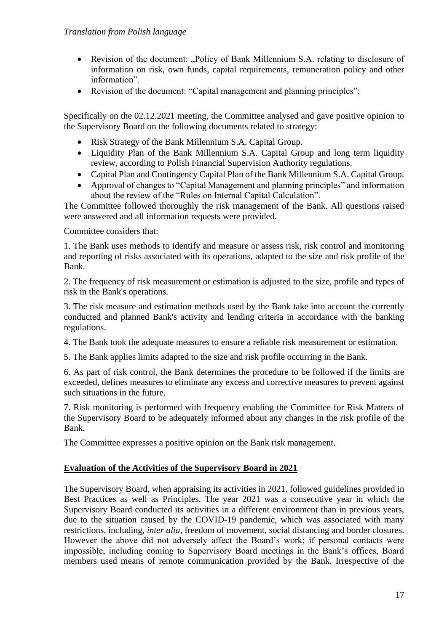- Revision of the document: "Policy of Bank Millennium S.A. relating to disclosure of information on risk, own funds, capital requirements, remuneration policy and other information".
- Revision of the document: "Capital management and planning principles";

Specifically on the 02.12.2021 meeting, the Committee analysed and gave positive opinion to the Supervisory Board on the following documents related to strategy:

- Risk Strategy of the Bank Millennium S.A. Capital Group.
- Liquidity Plan of the Bank Millennium S.A. Capital Group and long term liquidity review, according to Polish Financial Supervision Authority regulations.
- Capital Plan and Contingency Capital Plan of the Bank Millennium S.A. Capital Group.
- Approval of changes to "Capital Management and planning principles" and information about the review of the "Rules on Internal Capital Calculation".

The Committee followed thoroughly the risk management of the Bank. All questions raised were answered and all information requests were provided.

Committee considers that:

1. The Bank uses methods to identify and measure or assess risk, risk control and monitoring and reporting of risks associated with its operations, adapted to the size and risk profile of the Bank.

2. The frequency of risk measurement or estimation is adjusted to the size, profile and types of risk in the Bank's operations.

3. The risk measure and estimation methods used by the Bank take into account the currently conducted and planned Bank's activity and lending criteria in accordance with the banking regulations.

4. The Bank took the adequate measures to ensure a reliable risk measurement or estimation.

5. The Bank applies limits adapted to the size and risk profile occurring in the Bank.

6. As part of risk control, the Bank determines the procedure to be followed if the limits are exceeded, defines measures to eliminate any excess and corrective measures to prevent against such situations in the future.

7. Risk monitoring is performed with frequency enabling the Committee for Risk Matters of the Supervisory Board to be adequately informed about any changes in the risk profile of the Bank.

The Committee expresses a positive opinion on the Bank risk management.

## **Evaluation of the Activities of the Supervisory Board in 2021**

The Supervisory Board, when appraising its activities in 2021, followed guidelines provided in Best Practices as well as Principles. The year 2021 was a consecutive year in which the Supervisory Board conducted its activities in a different environment than in previous years, due to the situation caused by the COVID-19 pandemic, which was associated with many restrictions, including, *inter alia,* freedom of movement, social distancing and border closures. However the above did not adversely affect the Board's work; if personal contacts were impossible, including coming to Supervisory Board meetings in the Bank's offices, Board members used means of remote communication provided by the Bank. Irrespective of the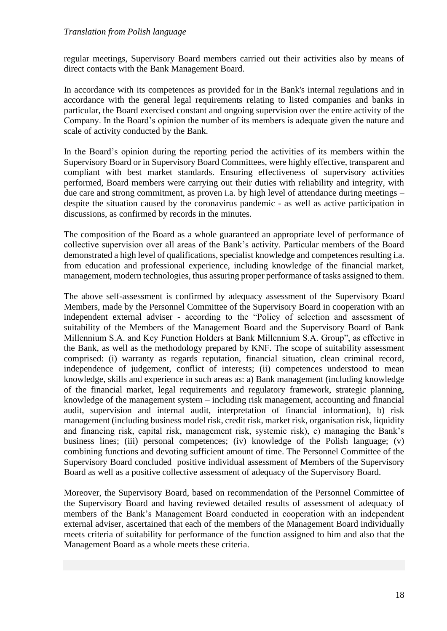regular meetings, Supervisory Board members carried out their activities also by means of direct contacts with the Bank Management Board.

In accordance with its competences as provided for in the Bank's internal regulations and in accordance with the general legal requirements relating to listed companies and banks in particular, the Board exercised constant and ongoing supervision over the entire activity of the Company. In the Board's opinion the number of its members is adequate given the nature and scale of activity conducted by the Bank.

In the Board's opinion during the reporting period the activities of its members within the Supervisory Board or in Supervisory Board Committees, were highly effective, transparent and compliant with best market standards. Ensuring effectiveness of supervisory activities performed, Board members were carrying out their duties with reliability and integrity, with due care and strong commitment, as proven i.a. by high level of attendance during meetings – despite the situation caused by the coronavirus pandemic - as well as active participation in discussions, as confirmed by records in the minutes.

The composition of the Board as a whole guaranteed an appropriate level of performance of collective supervision over all areas of the Bank's activity. Particular members of the Board demonstrated a high level of qualifications, specialist knowledge and competences resulting i.a. from education and professional experience, including knowledge of the financial market, management, modern technologies, thus assuring proper performance of tasks assigned to them.

The above self-assessment is confirmed by adequacy assessment of the Supervisory Board Members, made by the Personnel Committee of the Supervisory Board in cooperation with an independent external adviser - according to the "Policy of selection and assessment of suitability of the Members of the Management Board and the Supervisory Board of Bank Millennium S.A. and Key Function Holders at Bank Millennium S.A. Group", as effective in the Bank, as well as the methodology prepared by KNF. The scope of suitability assessment comprised: (i) warranty as regards reputation, financial situation, clean criminal record, independence of judgement, conflict of interests; (ii) competences understood to mean knowledge, skills and experience in such areas as: a) Bank management (including knowledge of the financial market, legal requirements and regulatory framework, strategic planning, knowledge of the management system – including risk management, accounting and financial audit, supervision and internal audit, interpretation of financial information), b) risk management (including business model risk, credit risk, market risk, organisation risk, liquidity and financing risk, capital risk, management risk, systemic risk), c) managing the Bank's business lines; (iii) personal competences; (iv) knowledge of the Polish language; (v) combining functions and devoting sufficient amount of time. The Personnel Committee of the Supervisory Board concluded positive individual assessment of Members of the Supervisory Board as well as a positive collective assessment of adequacy of the Supervisory Board.

Moreover, the Supervisory Board, based on recommendation of the Personnel Committee of the Supervisory Board and having reviewed detailed results of assessment of adequacy of members of the Bank's Management Board conducted in cooperation with an independent external adviser, ascertained that each of the members of the Management Board individually meets criteria of suitability for performance of the function assigned to him and also that the Management Board as a whole meets these criteria.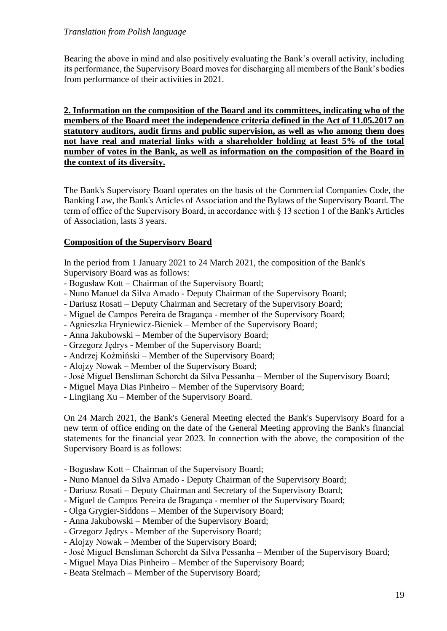Bearing the above in mind and also positively evaluating the Bank's overall activity, including its performance, the Supervisory Board moves for discharging all members of the Bank's bodies from performance of their activities in 2021.

**2. Information on the composition of the Board and its committees, indicating who of the members of the Board meet the independence criteria defined in the Act of 11.05.2017 on statutory auditors, audit firms and public supervision, as well as who among them does not have real and material links with a shareholder holding at least 5% of the total number of votes in the Bank, as well as information on the composition of the Board in the context of its diversity.**

The Bank's Supervisory Board operates on the basis of the Commercial Companies Code, the Banking Law, the Bank's Articles of Association and the Bylaws of the Supervisory Board. The term of office of the Supervisory Board, in accordance with § 13 section 1 of the Bank's Articles of Association, lasts 3 years.

#### **Composition of the Supervisory Board**

In the period from 1 January 2021 to 24 March 2021, the composition of the Bank's Supervisory Board was as follows:

- Bogusław Kott Chairman of the Supervisory Board;
- Nuno Manuel da Silva Amado Deputy Chairman of the Supervisory Board;
- Dariusz Rosati Deputy Chairman and Secretary of the Supervisory Board;
- Miguel de Campos Pereira de Bragança member of the Supervisory Board;
- Agnieszka Hryniewicz-Bieniek Member of the Supervisory Board;
- Anna Jakubowski Member of the Supervisory Board;
- Grzegorz Jędrys Member of the Supervisory Board;
- Andrzej Koźmiński Member of the Supervisory Board;
- Alojzy Nowak Member of the Supervisory Board;
- José Miguel Bensliman Schorcht da Silva Pessanha Member of the Supervisory Board;
- Miguel Maya Dias Pinheiro Member of the Supervisory Board;
- Lingjiang Xu Member of the Supervisory Board.

On 24 March 2021, the Bank's General Meeting elected the Bank's Supervisory Board for a new term of office ending on the date of the General Meeting approving the Bank's financial statements for the financial year 2023. In connection with the above, the composition of the Supervisory Board is as follows:

- Bogusław Kott Chairman of the Supervisory Board;
- Nuno Manuel da Silva Amado Deputy Chairman of the Supervisory Board;
- Dariusz Rosati Deputy Chairman and Secretary of the Supervisory Board;
- Miguel de Campos Pereira de Bragança member of the Supervisory Board;
- Olga Grygier-Siddons Member of the Supervisory Board;
- Anna Jakubowski Member of the Supervisory Board;
- Grzegorz Jędrys Member of the Supervisory Board;
- Alojzy Nowak Member of the Supervisory Board;
- José Miguel Bensliman Schorcht da Silva Pessanha Member of the Supervisory Board;
- Miguel Maya Dias Pinheiro Member of the Supervisory Board;
- Beata Stelmach Member of the Supervisory Board;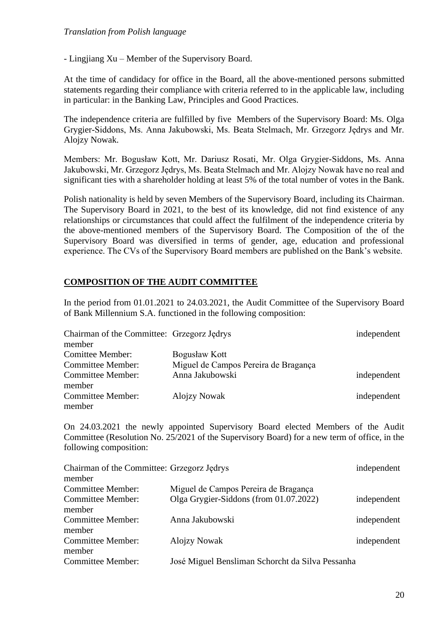- Lingjiang Xu – Member of the Supervisory Board.

At the time of candidacy for office in the Board, all the above-mentioned persons submitted statements regarding their compliance with criteria referred to in the applicable law, including in particular: in the Banking Law, Principles and Good Practices.

The independence criteria are fulfilled by five Members of the Supervisory Board: Ms. Olga Grygier-Siddons, Ms. Anna Jakubowski, Ms. Beata Stelmach, Mr. Grzegorz Jędrys and Mr. Alojzy Nowak.

Members: Mr. Bogusław Kott, Mr. Dariusz Rosati, Mr. Olga Grygier-Siddons, Ms. Anna Jakubowski, Mr. Grzegorz Jędrys, Ms. Beata Stelmach and Mr. Alojzy Nowak have no real and significant ties with a shareholder holding at least 5% of the total number of votes in the Bank.

Polish nationality is held by seven Members of the Supervisory Board, including its Chairman. The Supervisory Board in 2021, to the best of its knowledge, did not find existence of any relationships or circumstances that could affect the fulfilment of the independence criteria by the above-mentioned members of the Supervisory Board. The Composition of the of the Supervisory Board was diversified in terms of gender, age, education and professional experience. The CVs of the Supervisory Board members are published on the Bank's website.

# **COMPOSITION OF THE AUDIT COMMITTEE**

In the period from 01.01.2021 to 24.03.2021, the Audit Committee of the Supervisory Board of Bank Millennium S.A. functioned in the following composition:

| Chairman of the Committee: Grzegorz Jędrys |                                      | independent |
|--------------------------------------------|--------------------------------------|-------------|
| member                                     |                                      |             |
| <b>Comittee Member:</b>                    | Bogusław Kott                        |             |
| <b>Committee Member:</b>                   | Miguel de Campos Pereira de Bragança |             |
| <b>Committee Member:</b>                   | Anna Jakubowski                      | independent |
| member                                     |                                      |             |
| <b>Committee Member:</b>                   | <b>Alojzy Nowak</b>                  | independent |
| member                                     |                                      |             |

On 24.03.2021 the newly appointed Supervisory Board elected Members of the Audit Committee (Resolution No. 25/2021 of the Supervisory Board) for a new term of office, in the following composition:

| Chairman of the Committee: Grzegorz Jędrys |                                                  | independent |
|--------------------------------------------|--------------------------------------------------|-------------|
| member                                     |                                                  |             |
| <b>Committee Member:</b>                   | Miguel de Campos Pereira de Bragança             |             |
| <b>Committee Member:</b><br>member         | Olga Grygier-Siddons (from 01.07.2022)           | independent |
| <b>Committee Member:</b><br>member         | Anna Jakubowski                                  | independent |
| <b>Committee Member:</b><br>member         | <b>Alojzy Nowak</b>                              | independent |
| <b>Committee Member:</b>                   | José Miguel Bensliman Schorcht da Silva Pessanha |             |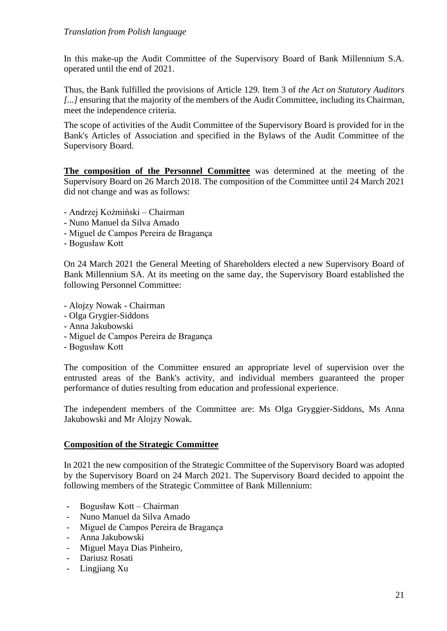In this make-up the Audit Committee of the Supervisory Board of Bank Millennium S.A. operated until the end of 2021.

Thus, the Bank fulfilled the provisions of Article 129. Item 3 of *the Act on Statutory Auditors [...]* ensuring that the majority of the members of the Audit Committee, including its Chairman, meet the independence criteria.

The scope of activities of the Audit Committee of the Supervisory Board is provided for in the Bank's Articles of Association and specified in the Bylaws of the Audit Committee of the Supervisory Board.

**The composition of the Personnel Committee** was determined at the meeting of the Supervisory Board on 26 March 2018. The composition of the Committee until 24 March 2021 did not change and was as follows:

- Andrzej Koźmiński Chairman
- Nuno Manuel da Silva Amado
- Miguel de Campos Pereira de Bragança
- Bogusław Kott

On 24 March 2021 the General Meeting of Shareholders elected a new Supervisory Board of Bank Millennium SA. At its meeting on the same day, the Supervisory Board established the following Personnel Committee:

- Alojzy Nowak Chairman
- Olga Grygier-Siddons
- Anna Jakubowski
- Miguel de Campos Pereira de Bragança
- Bogusław Kott

The composition of the Committee ensured an appropriate level of supervision over the entrusted areas of the Bank's activity, and individual members guaranteed the proper performance of duties resulting from education and professional experience.

The independent members of the Committee are: Ms Olga Gryggier-Siddons, Ms Anna Jakubowski and Mr Alojzy Nowak.

# **Composition of the Strategic Committee**

In 2021 the new composition of the Strategic Committee of the Supervisory Board was adopted by the Supervisory Board on 24 March 2021. The Supervisory Board decided to appoint the following members of the Strategic Committee of Bank Millennium:

- Bogusław Kott Chairman
- Nuno Manuel da Silva Amado
- Miguel de Campos Pereira de Bragança
- Anna Jakubowski
- Miguel Maya Dias Pinheiro,
- Dariusz Rosati
- Lingjiang Xu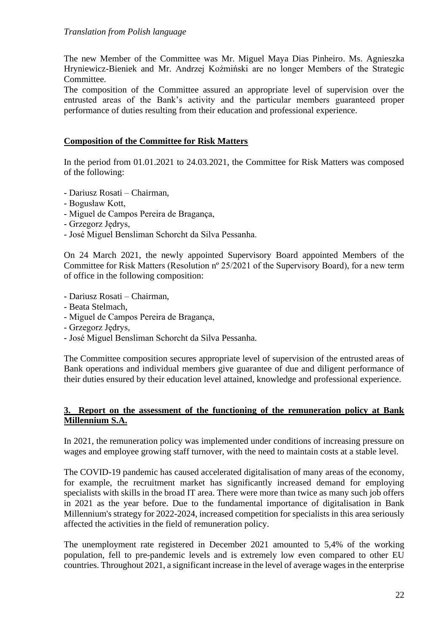The new Member of the Committee was Mr. Miguel Maya Dias Pinheiro. Ms. Agnieszka Hryniewicz-Bieniek and Mr. Andrzej Koźmiński are no longer Members of the Strategic Committee.

The composition of the Committee assured an appropriate level of supervision over the entrusted areas of the Bank's activity and the particular members guaranteed proper performance of duties resulting from their education and professional experience.

## **Composition of the Committee for Risk Matters**

In the period from 01.01.2021 to 24.03.2021, the Committee for Risk Matters was composed of the following:

- Dariusz Rosati Chairman,
- Bogusław Kott,
- Miguel de Campos Pereira de Bragança,
- Grzegorz Jędrys,
- José Miguel Bensliman Schorcht da Silva Pessanha.

On 24 March 2021, the newly appointed Supervisory Board appointed Members of the Committee for Risk Matters (Resolution nº 25/2021 of the Supervisory Board), for a new term of office in the following composition:

- Dariusz Rosati Chairman,
- Beata Stelmach,
- Miguel de Campos Pereira de Bragança,
- Grzegorz Jędrys,
- José Miguel Bensliman Schorcht da Silva Pessanha.

The Committee composition secures appropriate level of supervision of the entrusted areas of Bank operations and individual members give guarantee of due and diligent performance of their duties ensured by their education level attained, knowledge and professional experience.

## **3. Report on the assessment of the functioning of the remuneration policy at Bank Millennium S.A.**

In 2021, the remuneration policy was implemented under conditions of increasing pressure on wages and employee growing staff turnover, with the need to maintain costs at a stable level.

The COVID-19 pandemic has caused accelerated digitalisation of many areas of the economy, for example, the recruitment market has significantly increased demand for employing specialists with skills in the broad IT area. There were more than twice as many such job offers in 2021 as the year before. Due to the fundamental importance of digitalisation in Bank Millennium's strategy for 2022-2024, increased competition for specialists in this area seriously affected the activities in the field of remuneration policy.

The unemployment rate registered in December 2021 amounted to 5,4% of the working population, fell to pre-pandemic levels and is extremely low even compared to other EU countries. Throughout 2021, a significant increase in the level of average wages in the enterprise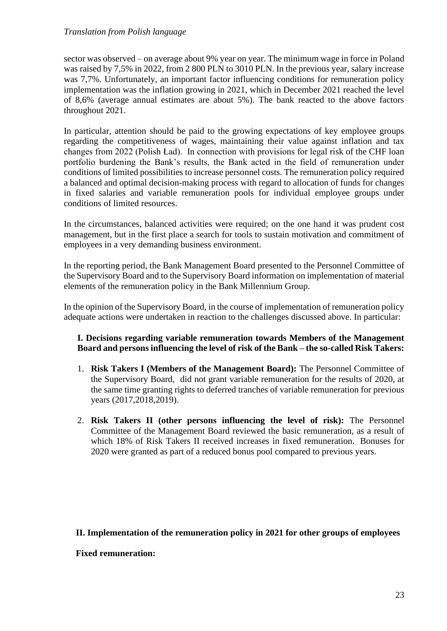sector was observed – on average about 9% year on year. The minimum wage in force in Poland was raised by 7,5% in 2022, from 2 800 PLN to 3010 PLN. In the previous year, salary increase was 7,7%. Unfortunately, an important factor influencing conditions for remuneration policy implementation was the inflation growing in 2021, which in December 2021 reached the level of 8,6% (average annual estimates are about 5%). The bank reacted to the above factors throughout 2021.

In particular, attention should be paid to the growing expectations of key employee groups regarding the competitiveness of wages, maintaining their value against inflation and tax changes from 2022 (Polish Ład). In connection with provisions for legal risk of the CHF loan portfolio burdening the Bank's results, the Bank acted in the field of remuneration under conditions of limited possibilities to increase personnel costs. The remuneration policy required a balanced and optimal decision-making process with regard to allocation of funds for changes in fixed salaries and variable remuneration pools for individual employee groups under conditions of limited resources.

In the circumstances, balanced activities were required; on the one hand it was prudent cost management, but in the first place a search for tools to sustain motivation and commitment of employees in a very demanding business environment.

In the reporting period, the Bank Management Board presented to the Personnel Committee of the Supervisory Board and to the Supervisory Board information on implementation of material elements of the remuneration policy in the Bank Millennium Group.

In the opinion of the Supervisory Board, in the course of implementation of remuneration policy adequate actions were undertaken in reaction to the challenges discussed above. In particular:

#### **I. Decisions regarding variable remuneration towards Members of the Management Board and persons influencing the level of risk of the Bank – the so-called Risk Takers:**

- 1. **Risk Takers I (Members of the Management Board):** The Personnel Committee of the Supervisory Board, did not grant variable remuneration for the results of 2020, at the same time granting rights to deferred tranches of variable remuneration for previous years (2017,2018,2019).
- 2. **Risk Takers II (other persons influencing the level of risk):** The Personnel Committee of the Management Board reviewed the basic remuneration, as a result of which 18% of Risk Takers II received increases in fixed remuneration. Bonuses for 2020 were granted as part of a reduced bonus pool compared to previous years.

## **II. Implementation of the remuneration policy in 2021 for other groups of employees**

**Fixed remuneration:**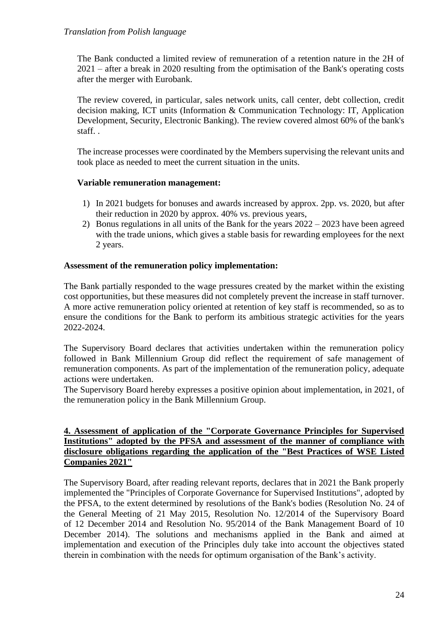The Bank conducted a limited review of remuneration of a retention nature in the 2H of 2021 – after a break in 2020 resulting from the optimisation of the Bank's operating costs after the merger with Eurobank.

The review covered, in particular, sales network units, call center, debt collection, credit decision making, ICT units (Information & Communication Technology: IT, Application Development, Security, Electronic Banking). The review covered almost 60% of the bank's staff. .

The increase processes were coordinated by the Members supervising the relevant units and took place as needed to meet the current situation in the units.

## **Variable remuneration management:**

- 1) In 2021 budgets for bonuses and awards increased by approx. 2pp. vs. 2020, but after their reduction in 2020 by approx. 40% vs. previous years,
- 2) Bonus regulations in all units of the Bank for the years 2022 2023 have been agreed with the trade unions, which gives a stable basis for rewarding employees for the next 2 years.

## **Assessment of the remuneration policy implementation:**

The Bank partially responded to the wage pressures created by the market within the existing cost opportunities, but these measures did not completely prevent the increase in staff turnover. A more active remuneration policy oriented at retention of key staff is recommended, so as to ensure the conditions for the Bank to perform its ambitious strategic activities for the years 2022-2024.

The Supervisory Board declares that activities undertaken within the remuneration policy followed in Bank Millennium Group did reflect the requirement of safe management of remuneration components. As part of the implementation of the remuneration policy, adequate actions were undertaken.

The Supervisory Board hereby expresses a positive opinion about implementation, in 2021, of the remuneration policy in the Bank Millennium Group.

## **4. Assessment of application of the "Corporate Governance Principles for Supervised Institutions" adopted by the PFSA and assessment of the manner of compliance with disclosure obligations regarding the application of the "Best Practices of WSE Listed Companies 2021"**

The Supervisory Board, after reading relevant reports, declares that in 2021 the Bank properly implemented the "Principles of Corporate Governance for Supervised Institutions", adopted by the PFSA, to the extent determined by resolutions of the Bank's bodies (Resolution No. 24 of the General Meeting of 21 May 2015, Resolution No. 12/2014 of the Supervisory Board of 12 December 2014 and Resolution No. 95/2014 of the Bank Management Board of 10 December 2014). The solutions and mechanisms applied in the Bank and aimed at implementation and execution of the Principles duly take into account the objectives stated therein in combination with the needs for optimum organisation of the Bank's activity.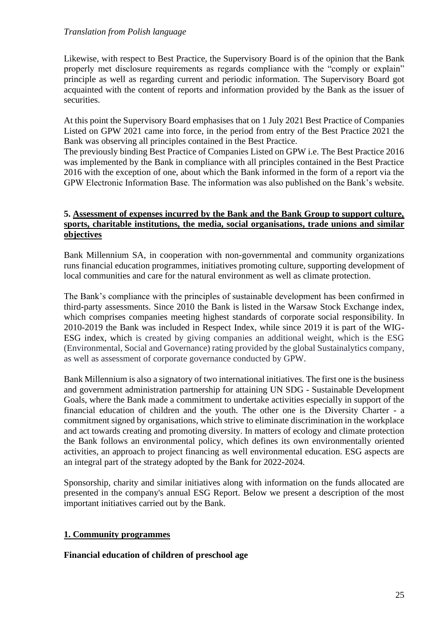Likewise, with respect to Best Practice, the Supervisory Board is of the opinion that the Bank properly met disclosure requirements as regards compliance with the "comply or explain" principle as well as regarding current and periodic information. The Supervisory Board got acquainted with the content of reports and information provided by the Bank as the issuer of securities.

At this point the Supervisory Board emphasises that on 1 July 2021 Best Practice of Companies Listed on GPW 2021 came into force, in the period from entry of the Best Practice 2021 the Bank was observing all principles contained in the Best Practice.

The previously binding Best Practice of Companies Listed on GPW i.e. The Best Practice 2016 was implemented by the Bank in compliance with all principles contained in the Best Practice 2016 with the exception of one, about which the Bank informed in the form of a report via the GPW Electronic Information Base. The information was also published on the Bank's website.

### **5. Assessment of expenses incurred by the Bank and the Bank Group to support culture, sports, charitable institutions, the media, social organisations, trade unions and similar objectives**

Bank Millennium SA, in cooperation with non-governmental and community organizations runs financial education programmes, initiatives promoting culture, supporting development of local communities and care for the natural environment as well as climate protection.

The Bank's compliance with the principles of sustainable development has been confirmed in third-party assessments. Since 2010 the Bank is listed in the Warsaw Stock Exchange index, which comprises companies meeting highest standards of corporate social responsibility. In 2010-2019 the Bank was included in Respect Index, while since 2019 it is part of the WIG-ESG index, which is created by giving companies an additional weight, which is the ESG (Environmental, Social and Governance) rating provided by the global Sustainalytics company, as well as assessment of corporate governance conducted by GPW.

Bank Millennium is also a signatory of two international initiatives. The first one is the business and government administration partnership for attaining UN SDG - Sustainable Development Goals, where the Bank made a commitment to undertake activities especially in support of the financial education of children and the youth. The other one is the Diversity Charter - a commitment signed by organisations, which strive to eliminate discrimination in the workplace and act towards creating and promoting diversity. In matters of ecology and climate protection the Bank follows an environmental policy, which defines its own environmentally oriented activities, an approach to project financing as well environmental education. ESG aspects are an integral part of the strategy adopted by the Bank for 2022-2024.

Sponsorship, charity and similar initiatives along with information on the funds allocated are presented in the company's annual ESG Report. Below we present a description of the most important initiatives carried out by the Bank.

## **1. Community programmes**

## **Financial education of children of preschool age**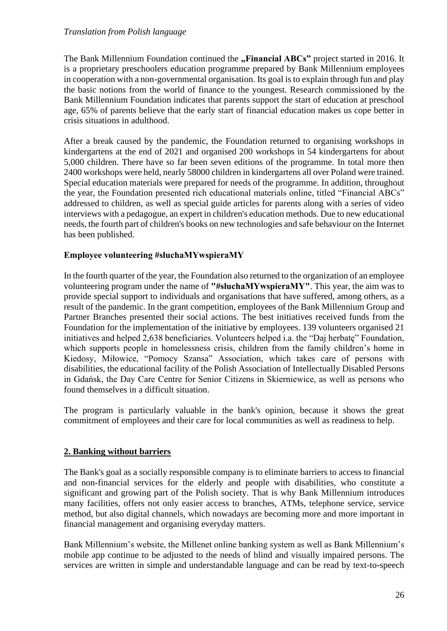The Bank Millennium Foundation continued the **"Financial ABCs**" project started in 2016. It is a proprietary preschoolers education programme prepared by Bank Millennium employees in cooperation with a non-governmental organisation. Its goal is to explain through fun and play the basic notions from the world of finance to the youngest. Research commissioned by the Bank Millennium Foundation indicates that parents support the start of education at preschool age, 65% of parents believe that the early start of financial education makes us cope better in crisis situations in adulthood.

After a break caused by the pandemic, the Foundation returned to organising workshops in kindergartens at the end of 2021 and organised 200 workshops in 54 kindergartens for about 5,000 children. There have so far been seven editions of the programme. In total more then 2400 workshops were held, nearly 58000 children in kindergartens all over Poland were trained. Special education materials were prepared for needs of the programme. In addition, throughout the year, the Foundation presented rich educational materials online, titled "Financial ABCs" addressed to children, as well as special guide articles for parents along with a series of video interviews with a pedagogue, an expert in children's education methods. Due to new educational needs, the fourth part of children's books on new technologies and safe behaviour on the Internet has been published.

## **Employee volunteering #słuchaMYwspieraMY**

In the fourth quarter of the year, the Foundation also returned to the organization of an employee volunteering program under the name of **"#słuchaMYwspieraMY"**. This year, the aim was to provide special support to individuals and organisations that have suffered, among others, as a result of the pandemic. In the grant competition, employees of the Bank Millennium Group and Partner Branches presented their social actions. The best initiatives received funds from the Foundation for the implementation of the initiative by employees. 139 volunteers organised 21 initiatives and helped 2,638 beneficiaries. Volunteers helped i.a. the "Daj herbatę" Foundation, which supports people in homelessness crisis, children from the family children's home in Kiedosy, Miłowice, "Pomocy Szansa" Association, which takes care of persons with disabilities, the educational facility of the Polish Association of Intellectually Disabled Persons in Gdańsk, the Day Care Centre for Senior Citizens in Skierniewice, as well as persons who found themselves in a difficult situation.

The program is particularly valuable in the bank's opinion, because it shows the great commitment of employees and their care for local communities as well as readiness to help.

## **2. Banking without barriers**

The Bank's goal as a socially responsible company is to eliminate barriers to access to financial and non-financial services for the elderly and people with disabilities, who constitute a significant and growing part of the Polish society. That is why Bank Millennium introduces many facilities, offers not only easier access to branches, ATMs, telephone service, service method, but also digital channels, which nowadays are becoming more and more important in financial management and organising everyday matters.

Bank Millennium's website, the Millenet online banking system as well as Bank Millennium's mobile app continue to be adjusted to the needs of blind and visually impaired persons. The services are written in simple and understandable language and can be read by text-to-speech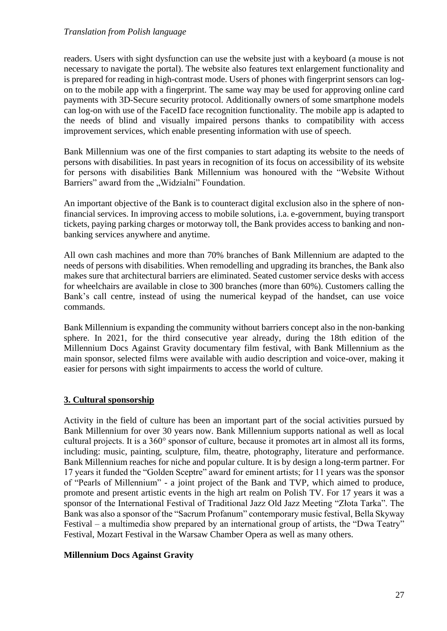readers. Users with sight dysfunction can use the website just with a keyboard (a mouse is not necessary to navigate the portal). The website also features text enlargement functionality and is prepared for reading in high-contrast mode. Users of phones with fingerprint sensors can logon to the mobile app with a fingerprint. The same way may be used for approving online card payments with 3D-Secure security protocol. Additionally owners of some smartphone models can log-on with use of the FaceID face recognition functionality. The mobile app is adapted to the needs of blind and visually impaired persons thanks to compatibility with access improvement services, which enable presenting information with use of speech.

Bank Millennium was one of the first companies to start adapting its website to the needs of persons with disabilities. In past years in recognition of its focus on accessibility of its website for persons with disabilities Bank Millennium was honoured with the "Website Without Barriers" award from the "Widzialni" Foundation.

An important objective of the Bank is to counteract digital exclusion also in the sphere of nonfinancial services. In improving access to mobile solutions, i.a. e-government, buying transport tickets, paying parking charges or motorway toll, the Bank provides access to banking and nonbanking services anywhere and anytime.

All own cash machines and more than 70% branches of Bank Millennium are adapted to the needs of persons with disabilities. When remodelling and upgrading its branches, the Bank also makes sure that architectural barriers are eliminated. Seated customer service desks with access for wheelchairs are available in close to 300 branches (more than 60%). Customers calling the Bank's call centre, instead of using the numerical keypad of the handset, can use voice commands.

Bank Millennium is expanding the community without barriers concept also in the non-banking sphere. In 2021, for the third consecutive year already, during the 18th edition of the Millennium Docs Against Gravity documentary film festival, with Bank Millennium as the main sponsor, selected films were available with audio description and voice-over, making it easier for persons with sight impairments to access the world of culture.

# **3. Cultural sponsorship**

Activity in the field of culture has been an important part of the social activities pursued by Bank Millennium for over 30 years now. Bank Millennium supports national as well as local cultural projects. It is a 360° sponsor of culture, because it promotes art in almost all its forms, including: music, painting, sculpture, film, theatre, photography, literature and performance. Bank Millennium reaches for niche and popular culture. It is by design a long-term partner. For 17 years it funded the "Golden Sceptre" award for eminent artists; for 11 years was the sponsor of "Pearls of Millennium" - a joint project of the Bank and TVP, which aimed to produce, promote and present artistic events in the high art realm on Polish TV. For 17 years it was a sponsor of the International Festival of Traditional Jazz Old Jazz Meeting "Złota Tarka". The Bank was also a sponsor of the "Sacrum Profanum" contemporary music festival, Bella Skyway Festival – a multimedia show prepared by an international group of artists, the "Dwa Teatry" Festival, Mozart Festival in the Warsaw Chamber Opera as well as many others.

## **Millennium Docs Against Gravity**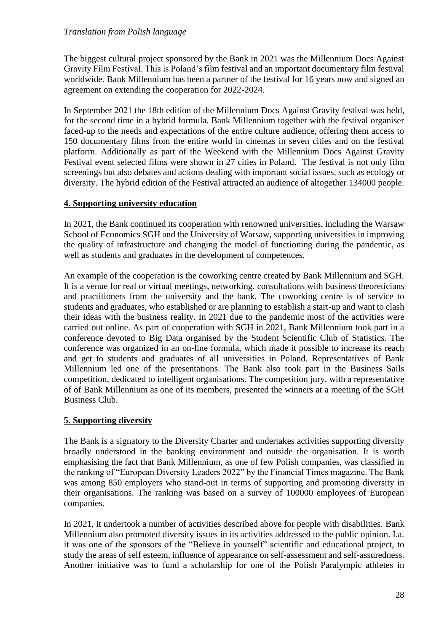The biggest cultural project sponsored by the Bank in 2021 was the Millennium Docs Against Gravity Film Festival. This is Poland's film festival and an important documentary film festival worldwide. Bank Millennium has been a partner of the festival for 16 years now and signed an agreement on extending the cooperation for 2022-2024.

In September 2021 the 18th edition of the Millennium Docs Against Gravity festival was held, for the second time in a hybrid formula. Bank Millennium together with the festival organiser faced-up to the needs and expectations of the entire culture audience, offering them access to 150 documentary films from the entire world in cinemas in seven cities and on the festival platform. Additionally as part of the Weekend with the Millennium Docs Against Gravity Festival event selected films were shown in 27 cities in Poland. The festival is not only film screenings but also debates and actions dealing with important social issues, such as ecology or diversity. The hybrid edition of the Festival attracted an audience of altogether 134000 people.

## **4. Supporting university education**

In 2021, the Bank continued its cooperation with renowned universities, including the Warsaw School of Economics SGH and the University of Warsaw, supporting universities in improving the quality of infrastructure and changing the model of functioning during the pandemic, as well as students and graduates in the development of competences.

An example of the cooperation is the coworking centre created by Bank Millennium and SGH. It is a venue for real or virtual meetings, networking, consultations with business theoreticians and practitioners from the university and the bank. The coworking centre is of service to students and graduates, who established or are planning to establish a start-up and want to clash their ideas with the business reality. In 2021 due to the pandemic most of the activities were carried out online. As part of cooperation with SGH in 2021, Bank Millennium took part in a conference devoted to Big Data organised by the Student Scientific Club of Statistics. The conference was organized in an on-line formula, which made it possible to increase its reach and get to students and graduates of all universities in Poland. Representatives of Bank Millennium led one of the presentations. The Bank also took part in the Business Sails competition, dedicated to intelligent organisations. The competition jury, with a representative of of Bank Millennium as one of its members, presented the winners at a meeting of the SGH Business Club.

# **5. Supporting diversity**

The Bank is a signatory to the Diversity Charter and undertakes activities supporting diversity broadly understood in the banking environment and outside the organisation. It is worth emphasising the fact that Bank Millennium, as one of few Polish companies, was classified in the ranking of "European Diversity Leaders 2022" by the Financial Times magazine. The Bank was among 850 employers who stand-out in terms of supporting and promoting diversity in their organisations. The ranking was based on a survey of 100000 employees of European companies.

In 2021, it undertook a number of activities described above for people with disabilities. Bank Millennium also promoted diversity issues in its activities addressed to the public opinion. I.a. it was one of the sponsors of the "Believe in yourself" scientific and educational project, to study the areas of self esteem, influence of appearance on self-assessment and self-assuredness. Another initiative was to fund a scholarship for one of the Polish Paralympic athletes in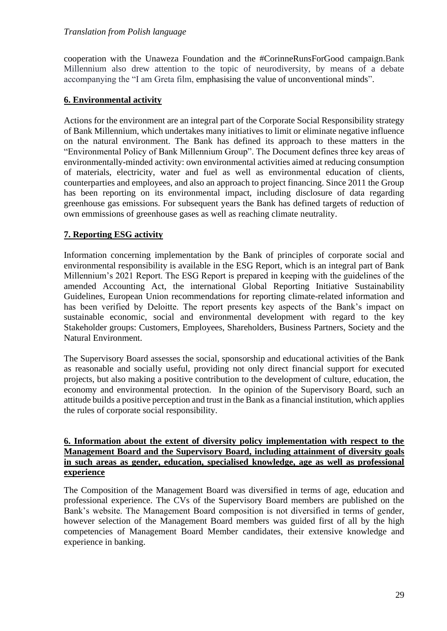cooperation with the Unaweza Foundation and the #CorinneRunsForGood campaign.Bank Millennium also drew attention to the topic of neurodiversity, by means of a debate accompanying the "I am Greta film, emphasising the value of unconventional minds".

## **6. Environmental activity**

Actions for the environment are an integral part of the Corporate Social Responsibility strategy of Bank Millennium, which undertakes many initiatives to limit or eliminate negative influence on the natural environment. The Bank has defined its approach to these matters in the "Environmental Policy of Bank Millennium Group". The Document defines three key areas of environmentally-minded activity: own environmental activities aimed at reducing consumption of materials, electricity, water and fuel as well as environmental education of clients, counterparties and employees, and also an approach to project financing. Since 2011 the Group has been reporting on its environmental impact, including disclosure of data regarding greenhouse gas emissions. For subsequent years the Bank has defined targets of reduction of own emmissions of greenhouse gases as well as reaching climate neutrality.

# **7. Reporting ESG activity**

Information concerning implementation by the Bank of principles of corporate social and environmental responsibility is available in the ESG Report, which is an integral part of Bank Millennium's 2021 Report. The ESG Report is prepared in keeping with the guidelines of the amended Accounting Act, the international Global Reporting Initiative Sustainability Guidelines, European Union recommendations for reporting climate-related information and has been verified by Deloitte. The report presents key aspects of the Bank's impact on sustainable economic, social and environmental development with regard to the key Stakeholder groups: Customers, Employees, Shareholders, Business Partners, Society and the Natural Environment.

The Supervisory Board assesses the social, sponsorship and educational activities of the Bank as reasonable and socially useful, providing not only direct financial support for executed projects, but also making a positive contribution to the development of culture, education, the economy and environmental protection. In the opinion of the Supervisory Board, such an attitude builds a positive perception and trust in the Bank as a financial institution, which applies the rules of corporate social responsibility.

## **6. Information about the extent of diversity policy implementation with respect to the Management Board and the Supervisory Board, including attainment of diversity goals in such areas as gender, education, specialised knowledge, age as well as professional experience**

The Composition of the Management Board was diversified in terms of age, education and professional experience. The CVs of the Supervisory Board members are published on the Bank's website. The Management Board composition is not diversified in terms of gender, however selection of the Management Board members was guided first of all by the high competencies of Management Board Member candidates, their extensive knowledge and experience in banking.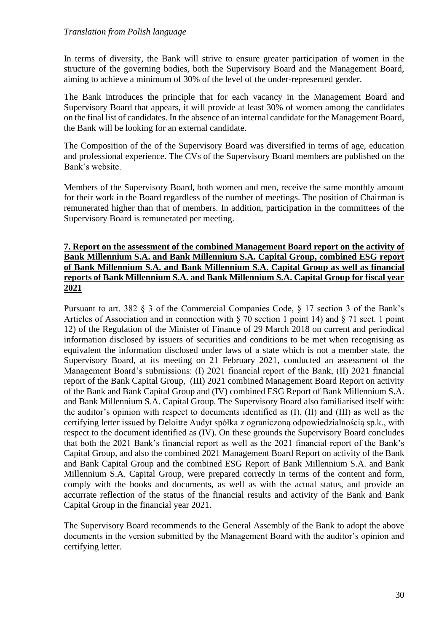In terms of diversity, the Bank will strive to ensure greater participation of women in the structure of the governing bodies, both the Supervisory Board and the Management Board, aiming to achieve a minimum of 30% of the level of the under-represented gender.

The Bank introduces the principle that for each vacancy in the Management Board and Supervisory Board that appears, it will provide at least 30% of women among the candidates on the final list of candidates. In the absence of an internal candidate for the Management Board, the Bank will be looking for an external candidate.

The Composition of the of the Supervisory Board was diversified in terms of age, education and professional experience. The CVs of the Supervisory Board members are published on the Bank's website.

Members of the Supervisory Board, both women and men, receive the same monthly amount for their work in the Board regardless of the number of meetings. The position of Chairman is remunerated higher than that of members. In addition, participation in the committees of the Supervisory Board is remunerated per meeting.

## **7. Report on the assessment of the combined Management Board report on the activity of Bank Millennium S.A. and Bank Millennium S.A. Capital Group, combined ESG report of Bank Millennium S.A. and Bank Millennium S.A. Capital Group as well as financial reports of Bank Millennium S.A. and Bank Millennium S.A. Capital Group for fiscal year 2021**

Pursuant to art. 382 § 3 of the Commercial Companies Code, § 17 section 3 of the Bank's Articles of Association and in connection with  $\S$  70 section 1 point 14) and  $\S$  71 sect. 1 point 12) of the Regulation of the Minister of Finance of 29 March 2018 on current and periodical information disclosed by issuers of securities and conditions to be met when recognising as equivalent the information disclosed under laws of a state which is not a member state, the Supervisory Board, at its meeting on 21 February 2021, conducted an assessment of the Management Board's submissions: (I) 2021 financial report of the Bank, (II) 2021 financial report of the Bank Capital Group, (III) 2021 combined Management Board Report on activity of the Bank and Bank Capital Group and (IV) combined ESG Report of Bank Millennium S.A. and Bank Millennium S.A. Capital Group. The Supervisory Board also familiarised itself with: the auditor's opinion with respect to documents identified as (I), (II) and (III) as well as the certifying letter issued by Deloitte Audyt spółka z ograniczoną odpowiedzialnością sp.k., with respect to the document identified as (IV). On these grounds the Supervisory Board concludes that both the 2021 Bank's financial report as well as the 2021 financial report of the Bank's Capital Group, and also the combined 2021 Management Board Report on activity of the Bank and Bank Capital Group and the combined ESG Report of Bank Millennium S.A. and Bank Millennium S.A. Capital Group, were prepared correctly in terms of the content and form, comply with the books and documents, as well as with the actual status, and provide an accurrate reflection of the status of the financial results and activity of the Bank and Bank Capital Group in the financial year 2021.

The Supervisory Board recommends to the General Assembly of the Bank to adopt the above documents in the version submitted by the Management Board with the auditor's opinion and certifying letter.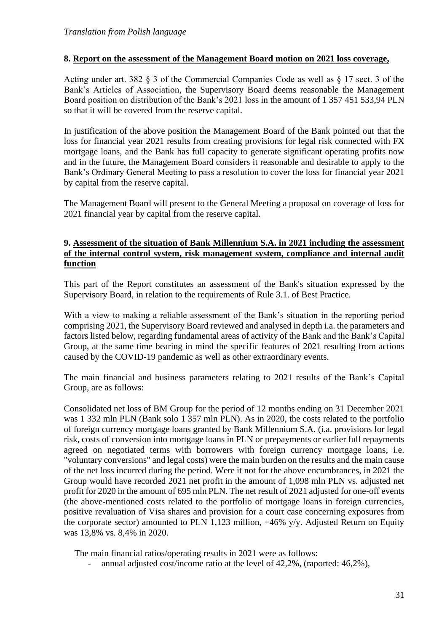## **8. Report on the assessment of the Management Board motion on 2021 loss coverage,**

Acting under art. 382 § 3 of the Commercial Companies Code as well as § 17 sect. 3 of the Bank's Articles of Association, the Supervisory Board deems reasonable the Management Board position on distribution of the Bank's 2021 loss in the amount of 1 357 451 533,94 PLN so that it will be covered from the reserve capital.

In justification of the above position the Management Board of the Bank pointed out that the loss for financial year 2021 results from creating provisions for legal risk connected with FX mortgage loans, and the Bank has full capacity to generate significant operating profits now and in the future, the Management Board considers it reasonable and desirable to apply to the Bank's Ordinary General Meeting to pass a resolution to cover the loss for financial year 2021 by capital from the reserve capital.

The Management Board will present to the General Meeting a proposal on coverage of loss for 2021 financial year by capital from the reserve capital.

### **9. Assessment of the situation of Bank Millennium S.A. in 2021 including the assessment of the internal control system, risk management system, compliance and internal audit function**

This part of the Report constitutes an assessment of the Bank's situation expressed by the Supervisory Board, in relation to the requirements of Rule 3.1. of Best Practice.

With a view to making a reliable assessment of the Bank's situation in the reporting period comprising 2021, the Supervisory Board reviewed and analysed in depth i.a. the parameters and factors listed below, regarding fundamental areas of activity of the Bank and the Bank's Capital Group, at the same time bearing in mind the specific features of 2021 resulting from actions caused by the COVID-19 pandemic as well as other extraordinary events.

The main financial and business parameters relating to 2021 results of the Bank's Capital Group, are as follows:

Consolidated net loss of BM Group for the period of 12 months ending on 31 December 2021 was 1 332 mln PLN (Bank solo 1 357 mln PLN). As in 2020, the costs related to the portfolio of foreign currency mortgage loans granted by Bank Millennium S.A. (i.a. provisions for legal risk, costs of conversion into mortgage loans in PLN or prepayments or earlier full repayments agreed on negotiated terms with borrowers with foreign currency mortgage loans, i.e. "voluntary conversions" and legal costs) were the main burden on the results and the main cause of the net loss incurred during the period. Were it not for the above encumbrances, in 2021 the Group would have recorded 2021 net profit in the amount of 1,098 mln PLN vs. adjusted net profit for 2020 in the amount of 695 mln PLN. The net result of 2021 adjusted for one-off events (the above-mentioned costs related to the portfolio of mortgage loans in foreign currencies, positive revaluation of Visa shares and provision for a court case concerning exposures from the corporate sector) amounted to PLN 1,123 million, +46% y/y. Adjusted Return on Equity was 13,8% vs. 8,4% in 2020.

The main financial ratios/operating results in 2021 were as follows:

annual adjusted cost/income ratio at the level of  $42,2\%$ , (raported:  $46,2\%$ ),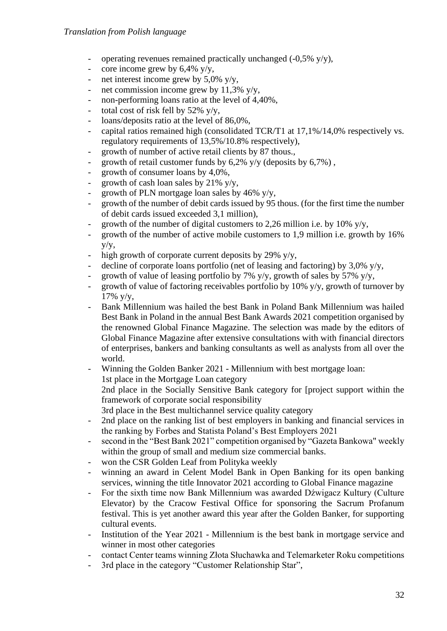- operating revenues remained practically unchanged  $(-0.5\% \text{ y/y})$ ,
- core income grew by  $6,4\%$  y/y,
- net interest income grew by  $5.0\%$  v/v.
- net commission income grew by 11,3%  $y/y$ ,
- non-performing loans ratio at the level of 4,40%,
- total cost of risk fell by  $52\%$  y/y,
- loans/deposits ratio at the level of 86,0%,
- capital ratios remained high (consolidated TCR/T1 at 17,1%/14,0% respectively vs. regulatory requirements of 13,5%/10.8% respectively),
- growth of number of active retail clients by 87 thous.,
- growth of retail customer funds by  $6,2\%$  y/y (deposits by  $6,7\%$ ),
- growth of consumer loans by 4,0%,
- growth of cash loan sales by  $21\%$  y/y,
- growth of PLN mortgage loan sales by  $46\%$  y/y,
- growth of the number of debit cards issued by 95 thous. (for the first time the number of debit cards issued exceeded 3,1 million),
- growth of the number of digital customers to 2,26 million i.e. by 10%  $y/y$ ,
- growth of the number of active mobile customers to 1,9 million i.e. growth by 16% y/y,
- high growth of corporate current deposits by 29%  $y/y$ ,
- decline of corporate loans portfolio (net of leasing and factoring) by  $3,0\%$  y/y,
- growth of value of leasing portfolio by 7% y/y, growth of sales by 57% y/y,
- growth of value of factoring receivables portfolio by 10%  $y/y$ , growth of turnover by  $17\%$  y/y,
- Bank Millennium was hailed the best Bank in Poland Bank Millennium was hailed Best Bank in Poland in the annual Best Bank Awards 2021 competition organised by the renowned Global Finance Magazine. The selection was made by the editors of Global Finance Magazine after extensive consultations with with financial directors of enterprises, bankers and banking consultants as well as analysts from all over the world.
- Winning the Golden Banker 2021 Millennium with best mortgage loan:
- 1st place in the Mortgage Loan category

2nd place in the Socially Sensitive Bank category for [project support within the framework of corporate social responsibility

- 3rd place in the Best multichannel service quality category
- 2nd place on the ranking list of best employers in banking and financial services in the ranking by Forbes and Statista Poland's Best Employers 2021
- second in the "Best Bank 2021" competition organised by "Gazeta Bankowa" weekly within the group of small and medium size commercial banks.
- won the CSR Golden Leaf from Polityka weekly
- winning an award in Celent Model Bank in Open Banking for its open banking services, winning the title Innovator 2021 according to Global Finance magazine
- For the sixth time now Bank Millennium was awarded Dźwigacz Kultury (Culture Elevator) by the Cracow Festival Office for sponsoring the Sacrum Profanum festival. This is yet another award this year after the Golden Banker, for supporting cultural events.
- Institution of the Year 2021 Millennium is the best bank in mortgage service and winner in most other categories
- contact Center teams winning Złota Słuchawka and Telemarketer Roku competitions
- 3rd place in the category "Customer Relationship Star".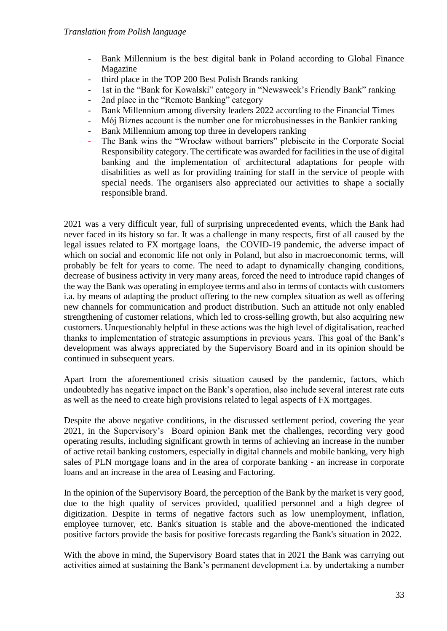- Bank Millennium is the best digital bank in Poland according to Global Finance Magazine
- third place in the TOP 200 Best Polish Brands ranking
- 1st in the "Bank for Kowalski" category in "Newsweek's Friendly Bank" ranking
- 2nd place in the "Remote Banking" category
- Bank Millennium among diversity leaders 2022 according to the Financial Times
- Mój Biznes account is the number one for microbusinesses in the Bankier ranking
- Bank Millennium among top three in developers ranking
- The Bank wins the "Wrocław without barriers" plebiscite in the Corporate Social Responsibility category. The certificate was awarded for facilities in the use of digital banking and the implementation of architectural adaptations for people with disabilities as well as for providing training for staff in the service of people with special needs. The organisers also appreciated our activities to shape a socially responsible brand.

2021 was a very difficult year, full of surprising unprecedented events, which the Bank had never faced in its history so far. It was a challenge in many respects, first of all caused by the legal issues related to FX mortgage loans, the COVID-19 pandemic, the adverse impact of which on social and economic life not only in Poland, but also in macroeconomic terms, will probably be felt for years to come. The need to adapt to dynamically changing conditions, decrease of business activity in very many areas, forced the need to introduce rapid changes of the way the Bank was operating in employee terms and also in terms of contacts with customers i.a. by means of adapting the product offering to the new complex situation as well as offering new channels for communication and product distribution. Such an attitude not only enabled strengthening of customer relations, which led to cross-selling growth, but also acquiring new customers. Unquestionably helpful in these actions was the high level of digitalisation, reached thanks to implementation of strategic assumptions in previous years. This goal of the Bank's development was always appreciated by the Supervisory Board and in its opinion should be continued in subsequent years.

Apart from the aforementioned crisis situation caused by the pandemic, factors, which undoubtedly has negative impact on the Bank's operation, also include several interest rate cuts as well as the need to create high provisions related to legal aspects of FX mortgages.

Despite the above negative conditions, in the discussed settlement period, covering the year 2021, in the Supervisory's Board opinion Bank met the challenges, recording very good operating results, including significant growth in terms of achieving an increase in the number of active retail banking customers, especially in digital channels and mobile banking, very high sales of PLN mortgage loans and in the area of corporate banking - an increase in corporate loans and an increase in the area of Leasing and Factoring.

In the opinion of the Supervisory Board, the perception of the Bank by the market is very good, due to the high quality of services provided, qualified personnel and a high degree of digitization. Despite in terms of negative factors such as low unemployment, inflation, employee turnover, etc. Bank's situation is stable and the above-mentioned the indicated positive factors provide the basis for positive forecasts regarding the Bank's situation in 2022.

With the above in mind, the Supervisory Board states that in 2021 the Bank was carrying out activities aimed at sustaining the Bank's permanent development i.a. by undertaking a number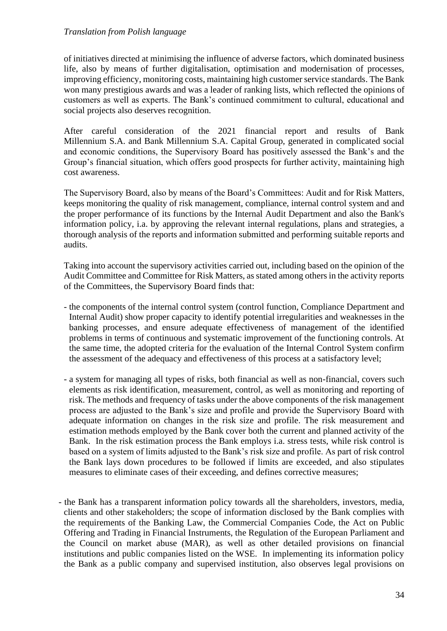of initiatives directed at minimising the influence of adverse factors, which dominated business life, also by means of further digitalisation, optimisation and modernisation of processes, improving efficiency, monitoring costs, maintaining high customer service standards. The Bank won many prestigious awards and was a leader of ranking lists, which reflected the opinions of customers as well as experts. The Bank's continued commitment to cultural, educational and social projects also deserves recognition.

After careful consideration of the 2021 financial report and results of Bank Millennium S.A. and Bank Millennium S.A. Capital Group, generated in complicated social and economic conditions, the Supervisory Board has positively assessed the Bank's and the Group's financial situation, which offers good prospects for further activity, maintaining high cost awareness.

The Supervisory Board, also by means of the Board's Committees: Audit and for Risk Matters, keeps monitoring the quality of risk management, compliance, internal control system and and the proper performance of its functions by the Internal Audit Department and also the Bank's information policy, i.a. by approving the relevant internal regulations, plans and strategies, a thorough analysis of the reports and information submitted and performing suitable reports and audits.

Taking into account the supervisory activities carried out, including based on the opinion of the Audit Committee and Committee for Risk Matters, as stated among others in the activity reports of the Committees, the Supervisory Board finds that:

- the components of the internal control system (control function, Compliance Department and Internal Audit) show proper capacity to identify potential irregularities and weaknesses in the banking processes, and ensure adequate effectiveness of management of the identified problems in terms of continuous and systematic improvement of the functioning controls. At the same time, the adopted criteria for the evaluation of the Internal Control System confirm the assessment of the adequacy and effectiveness of this process at a satisfactory level;
- a system for managing all types of risks, both financial as well as non-financial, covers such elements as risk identification, measurement, control, as well as monitoring and reporting of risk. The methods and frequency of tasks under the above components of the risk management process are adjusted to the Bank's size and profile and provide the Supervisory Board with adequate information on changes in the risk size and profile. The risk measurement and estimation methods employed by the Bank cover both the current and planned activity of the Bank. In the risk estimation process the Bank employs i.a. stress tests, while risk control is based on a system of limits adjusted to the Bank's risk size and profile. As part of risk control the Bank lays down procedures to be followed if limits are exceeded, and also stipulates measures to eliminate cases of their exceeding, and defines corrective measures;
- the Bank has a transparent information policy towards all the shareholders, investors, media, clients and other stakeholders; the scope of information disclosed by the Bank complies with the requirements of the Banking Law, the Commercial Companies Code, the Act on Public Offering and Trading in Financial Instruments, the Regulation of the European Parliament and the Council on market abuse (MAR), as well as other detailed provisions on financial institutions and public companies listed on the WSE. In implementing its information policy the Bank as a public company and supervised institution, also observes legal provisions on